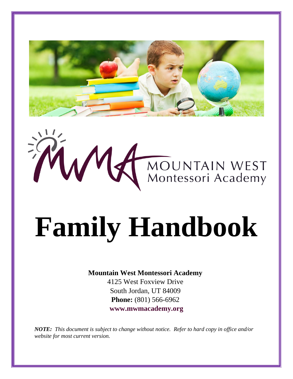



# **Family Handbook**

# **Mountain West Montessori Academy**

4125 West Foxview Drive South Jordan, UT 84009 **Phone:** (801) 566-6962 **[www.mwmacademy.org](http://www.mwmacademy.org/)**

*NOTE: This document is subject to change without notice. Refer to hard copy in office and/or website for most current version.*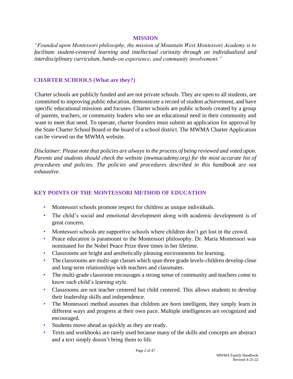#### **MISSION**

*"Founded upon Montessori philosophy, the mission of Mountain West Montessori Academy is to facilitate student-centered learning and intellectual curiosity through an individualized and interdisciplinary curriculum, hands-on experience, and community involvement."* 

### **CHARTER SCHOOLS (What are they?)**

Charter schools are publicly funded and are not private schools. They are open to all students, are committed to improving public education, demonstrate a record of student achievement, and have specific educational missions and focuses. Charter schools are public schools created by a group of parents, teachers, or community leaders who see an educational need in their community and want to meet that need. To operate, charter founders must submit an application for approval by the State Charter School Board or the board of a school district. The MWMA Charter Application can be viewed on the MWMA website.

*Disclaimer: Please note that policies are always in the process of being reviewed and voted upon. Parents and students should check the website (mwmacademy.org) for the most accurate list of procedures and policies. The policies and procedures described in this handbook are not exhaustive.* 

# **KEY POINTS OF THE MONTESSORI METHOD OF EDUCATION**

- Montessori schools promote respect for children as unique individuals.
- The child's social and emotional development along with academic development is of great concern.
- Montessori schools are supportive schools where children don't get lost in the crowd.
- Peace education is paramount to the Montessori philosophy. Dr. Maria Montessori was nominated for the Nobel Peace Prize three times in her lifetime.
- Classrooms are bright and aesthetically pleasing environments for learning.
- The classrooms are multi-age classes which span three grade levels-children develop close and long‐term relationships with teachers and classmates.
- The multi-grade classroom encourages a strong sense of community and teachers come to know each child's learning style.
- Classrooms are not teacher centered but child centered. This allows students to develop their leadership skills and independence.
- The Montessori method assumes that children are born intelligent, they simply learn in different ways and progress at their own pace. Multiple intelligences are recognized and encouraged.
- Students move ahead as quickly as they are ready.
- Texts and workbooks are rarely used because many of the skills and concepts are abstract and a text simply doesn't bring them to life.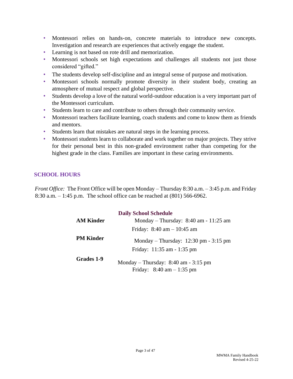- Montessori relies on hands‐on, concrete materials to introduce new concepts. Investigation and research are experiences that actively engage the student.
- Learning is not based on rote drill and memorization.
- Montessori schools set high expectations and challenges all students not just those considered "gifted."
- The students develop self-discipline and an integral sense of purpose and motivation.
- Montessori schools normally promote diversity in their student body, creating an atmosphere of mutual respect and global perspective.
- Students develop a love of the natural world-outdoor education is a very important part of the Montessori curriculum.
- Students learn to care and contribute to others through their community service.
- Montessori teachers facilitate learning, coach students and come to know them as friends and mentors.
- Students learn that mistakes are natural steps in the learning process.
- Montessori students learn to collaborate and work together on major projects. They strive for their personal best in this non-graded environment rather than competing for the highest grade in the class. Families are important in these caring environments.

# **SCHOOL HOURS**

*Front Office:* The Front Office will be open Monday – Thursday 8:30 a.m. – 3:45 p.m. and Friday 8:30 a.m. – 1:45 p.m. The school office can be reached at (801) 566-6962.

| <b>Daily School Schedule</b> |                                                                                          |  |
|------------------------------|------------------------------------------------------------------------------------------|--|
| <b>AM Kinder</b>             | Monday – Thursday: $8:40$ am - 11:25 am                                                  |  |
|                              | Friday: $8:40 \text{ am} - 10:45 \text{ am}$                                             |  |
| <b>PM Kinder</b>             | Monday – Thursday: $12:30 \text{ pm} - 3:15 \text{ pm}$<br>Friday: $11:35$ am $-1:35$ pm |  |
| Grades 1-9                   | Monday – Thursday: $8:40$ am - $3:15$ pm<br>Friday: $8:40 \text{ am} - 1:35 \text{ pm}$  |  |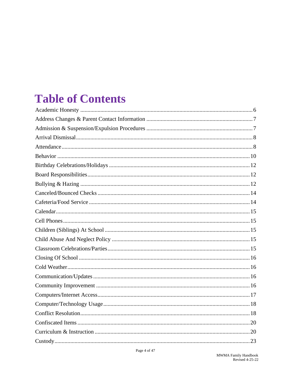# **Table of Contents**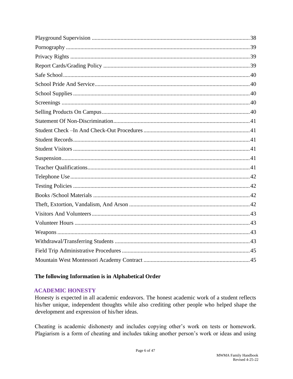# The following Information is in Alphabetical Order

# <span id="page-5-0"></span>**ACADEMIC HONESTY**

Honesty is expected in all academic endeavors. The honest academic work of a student reflects his/her unique, independent thoughts while also crediting other people who helped shape the development and expression of his/her ideas.

Cheating is academic dishonesty and includes copying other's work on tests or homework. Plagiarism is a form of cheating and includes taking another person's work or ideas and using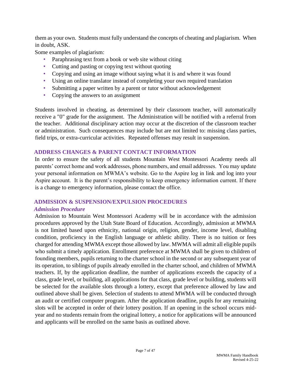them as your own. Students must fully understand the concepts of cheating and plagiarism. When in doubt, ASK.

Some examples of plagiarism:

- Paraphrasing text from a book or web site without citing
- Cutting and pasting or copying text without quoting
- Copying and using an image without saying what it is and where it was found
- Using an online translator instead of completing your own required translation
- Submitting a paper written by a parent or tutor without acknowledgement
- Copying the answers to an assignment

Students involved in cheating, as determined by their classroom teacher, will automatically receive a "0" grade for the assignment. The Administration will be notified with a referral from the teacher. Additional disciplinary action may occur at the discretion of the classroom teacher or administration. Such consequences may include but are not limited to: missing class parties, field trips, or extra-curricular activities. Repeated offenses may result in suspension.

# <span id="page-6-0"></span>**ADDRESS CHANGES & PARENT CONTACT INFORMATION**

In order to ensure the safety of all students Mountain West Montessori Academy needs all parents' correct home and work addresses, phone numbers, and email addresses. You may update your personal information on MWMA's website. Go to the Aspire log in link and log into your Aspire account. It is the parent's responsibility to keep emergency information current. If there is a change to emergency information, please contact the office.

# <span id="page-6-1"></span>**ADMISSION & SUSPENSION/EXPULSION PROCEDURES**

# *Admission Procedure*

Admission to Mountain West Montessori Academy will be in accordance with the admission procedures approved by the Utah State Board of Education. Accordingly, admission at MWMA is not limited based upon ethnicity, national origin, religion, gender, income level, disabling condition, proficiency in the English language or athletic ability. There is no tuition or fees charged for attending MWMA except those allowed by law. MWMA will admit all eligible pupils who submit a timely application. Enrollment preference at MWMA shall be given to children of founding members, pupils returning to the charter school in the second or any subsequent year of its operation, to siblings of pupils already enrolled in the charter school, and children of MWMA teachers. If, by the application deadline, the number of applications exceeds the capacity of a class, grade level, or building, all applications for that class, grade level or building, students will be selected for the available slots through a lottery, except that preference allowed by law and outlined above shall be given. Selection of students to attend MWMA will be conducted through an audit or certified computer program. After the application deadline, pupils for any remaining slots will be accepted in order of their lottery position. If an opening in the school occurs midyear and no students remain from the original lottery, a notice for applications will be announced and applicants will be enrolled on the same basis as outlined above.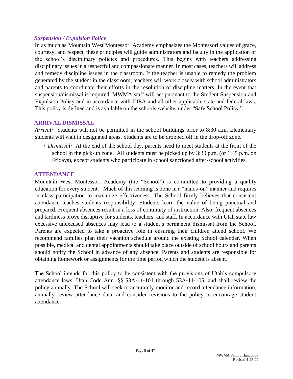### *Suspension / Expulsion Policy*

In as much as Mountain West Montessori Academy emphasizes the Montessori values of grace, courtesy, and respect, these principles will guide administrators and faculty in the application of the school's disciplinary policies and procedures. This begins with teachers addressing disciplinary issues in a respectful and compassionate manner. In most cases, teachers will address and remedy discipline issues in the classroom. If the teacher is unable to remedy the problem generated by the student in the classroom, teachers will work closely with school administrators and parents to coordinate their efforts in the resolution of discipline matters. In the event that suspension/dismissal is required, MWMA staff will act pursuant to the Student Suspension and Expulsion Policy and in accordance with IDEA and all other applicable state and federal laws. This policy is defined and is available on the schools website, under "Safe School Policy."

#### <span id="page-7-0"></span>**ARRIVAL DISMISSAL**

*Arrival:* Students will not be permitted in the school buildings prior to 8:30 a.m. Elementary students will wait in designated areas. Students are to be dropped off in the drop-off zone.

• *Dismissal:* At the end of the school day, parents need to meet students at the front of the school in the pick-up zone. All students must be picked up by 3:30 p.m. (or 1:45 p.m. on Fridays), except students who participate in school sanctioned after-school activities.

#### <span id="page-7-1"></span>**ATTENDANCE**

Mountain West Montessori Academy (the "School") is committed to providing a quality education for every student. Much of this learning is done in a "hands-on" manner and requires in class participation to maximize effectiveness. The School firmly believes that consistent attendance teaches students responsibility. Students learn the value of being punctual and prepared. Frequent absences result in a loss of continuity of instruction. Also, frequent absences and tardiness prove disruptive for students, teachers, and staff. In accordance with Utah state law excessive unexcused absences may lead to a student's permanent dismissal from the School. Parents are expected to take a proactive role in ensuring their children attend school. We recommend families plan their vacation schedule around the existing School calendar. When possible, medical and dental appointments should take place outside of school hours and parents should notify the School in advance of any absence. Parents and students are responsible for obtaining homework or assignments for the time period which the student is absent.

The School intends for this policy to be consistent with the provisions of Utah's compulsory attendance laws, Utah Code Ann. §§ 53A‐11‐101 through 53A‐11‐105, and shall review the policy annually. The School will seek to accurately monitor and record attendance information, annually review attendance data, and consider revisions to the policy to encourage student attendance.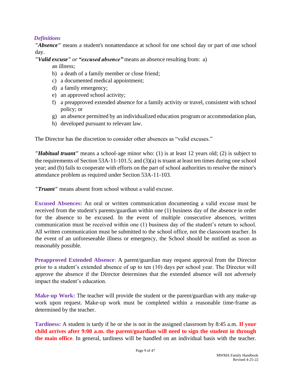# *Definitions*

*"Absence"* means a student's nonattendance at school for one school day or part of one school day.

*"Valid excuse" or "excused absence"* means an absence resulting from: a)

an illness;

- b) a death of a family member or close friend;
- c) a documented medical appointment;
- d) a family emergency;
- e) an approved school activity;
- f) a preapproved extended absence for a family activity or travel, consistent with school policy; or
- g) an absence permitted by an individualized education program or accommodation plan,
- h) developed pursuant to relevant law.

The Director has the discretion to consider other absences as "valid excuses."

*"Habitual truant"* means a school‐age minor who: (1) is at least 12 years old; (2) is subject to the requirements of Section 53A‐11‐101.5; and (3)(a) is truant at least ten times during one school year; and (b) fails to cooperate with efforts on the part of school authorities to resolve the minor's attendance problem as required under Section 53A‐11‐103.

*"Truant"* means absent from school without a valid excuse.

**Excused Absences:** An oral or written communication documenting a valid excuse must be received from the student's parents/guardian within one (1) business day of the absence in order for the absence to be excused. In the event of multiple consecutive absences, written communication must be received within one (1) business day of the student's return to school. All written communication must be submitted to the school office, not the classroom teacher. In the event of an unforeseeable illness or emergency, the School should be notified as soon as reasonably possible.

**Preapproved Extended Absence**: A parent/guardian may request approval from the Director prior to a student's extended absence of up to ten (10) days per school year. The Director will approve the absence if the Director determines that the extended absence will not adversely impact the student's education.

**Make-up Work:** The teacher will provide the student or the parent/guardian with any make-up work upon request. Make-up work must be completed within a reasonable time-frame as determined by the teacher.

**Tardiness:** A student is tardy if he or she is not in the assigned classroom by 8:45 a.m. **If your child arrives after 9:00 a.m. the parent/guardian will need to sign the student in through the main office**. In general, tardiness will be handled on an individual basis with the teacher.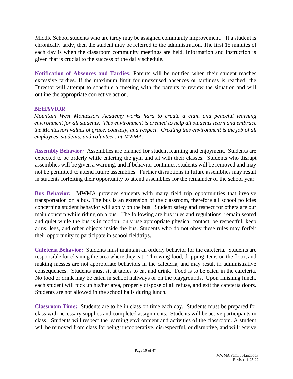Middle School students who are tardy may be assigned community improvement. If a student is chronically tardy, then the student may be referred to the administration. The first 15 minutes of each day is when the classroom community meetings are held. Information and instruction is given that is crucial to the success of the daily schedule.

**Notification of Absences and Tardies:** Parents will be notified when their student reaches excessive tardies. If the maximum limit for unexcused absences or tardiness is reached, the Director will attempt to schedule a meeting with the parents to review the situation and will outline the appropriate corrective action.

# <span id="page-9-0"></span>**BEHAVIOR**

*Mountain West Montessori Academy works hard to create a clam and peaceful learning environment for all students. This environment is created to help all students learn and embrace the Montessori values of grace, courtesy, and respect. Creating this environment is the job of all employees, students, and volunteers at MWMA.* 

**Assembly Behavior***:* Assemblies are planned for student learning and enjoyment. Students are expected to be orderly while entering the gym and sit with their classes. Students who disrupt assemblies will be given a warning, and if behavior continues, students will be removed and may not be permitted to attend future assemblies. Further disruptions in future assemblies may result in students forfeiting their opportunity to attend assemblies for the remainder of the school year.

**Bus Behavior:**MWMA provides students with many field trip opportunities that involve transportation on a bus. The bus is an extension of the classroom, therefore all school policies concerning student behavior will apply on the bus. Student safety and respect for others are our main concern while riding on a bus. The following are bus rules and regulations: remain seated and quiet while the bus is in motion, only use appropriate physical contact, be respectful, keep arms, legs, and other objects inside the bus. Students who do not obey these rules may forfeit their opportunity to participate in school fieldtrips.

**Cafeteria Behavior:** Students must maintain an orderly behavior for the cafeteria. Students are responsible for cleaning the area where they eat. Throwing food, dripping items on the floor, and making messes are not appropriate behaviors in the cafeteria, and may result in administrative consequences. Students must sit at tables to eat and drink. Food is to be eaten in the cafeteria. No food or drink may be eaten in school hallways or on the playgrounds. Upon finishing lunch, each student will pick up his/her area, properly dispose of all refuse, and exit the cafeteria doors. Students are not allowed in the school halls during lunch.

**Classroom Time:**Students are to be in class on time each day. Students must be prepared for class with necessary supplies and completed assignments. Students will be active participants in class. Students will respect the learning environment and activities of the classroom. A student will be removed from class for being uncooperative, disrespectful, or disruptive, and will receive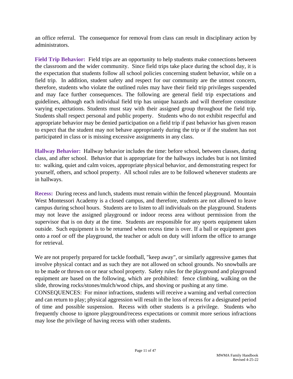an office referral. The consequence for removal from class can result in disciplinary action by administrators.

**Field Trip Behavior:**Field trips are an opportunity to help students make connections between the classroom and the wider community. Since field trips take place during the school day, it is the expectation that students follow all school policies concerning student behavior, while on a field trip. In addition, student safety and respect for our community are the utmost concern, therefore, students who violate the outlined rules may have their field trip privileges suspended and may face further consequences. The following are general field trip expectations and guidelines, although each individual field trip has unique hazards and will therefore constitute varying expectations. Students must stay with their assigned group throughout the field trip. Students shall respect personal and public property. Students who do not exhibit respectful and appropriate behavior may be denied participation on a field trip if past behavior has given reason to expect that the student may not behave appropriately during the trip or if the student has not participated in class or is missing excessive assignments in any class.

**Hallway Behavior:**Hallway behavior includes the time: before school, between classes, during class, and after school. Behavior that is appropriate for the hallways includes but is not limited to: walking, quiet and calm voices, appropriate physical behavior, and demonstrating respect for yourself, others, and school property. All school rules are to be followed whenever students are in hallways.

**Recess:** During recess and lunch, students must remain within the fenced playground. Mountain West Montessori Academy is a closed campus, and therefore, students are not allowed to leave campus during school hours. Students are to listen to all individuals on the playground. Students may not leave the assigned playground or indoor recess area without permission from the supervisor that is on duty at the time. Students are responsible for any sports equipment taken outside. Such equipment is to be returned when recess time is over. If a ball or equipment goes onto a roof or off the playground, the teacher or adult on duty will inform the office to arrange for retrieval.

We are not properly prepared for tackle football, "keep away", or similarly aggressive games that involve physical contact and as such they are not allowed on school grounds. No snowballs are to be made or thrown on or near school property. Safety rules for the playground and playground equipment are based on the following, which are prohibited: fence climbing, walking on the slide, throwing rocks/stones/mulch/wood chips, and shoving or pushing at any time.

CONSEQUENCES: For minor infractions, students will receive a warning and verbal correction and can return to play; physical aggression will result in the loss of recess for a designated period of time and possible suspension. Recess with other students is a privilege. Students who frequently choose to ignore playground/recess expectations or commit more serious infractions may lose the privilege of having recess with other students.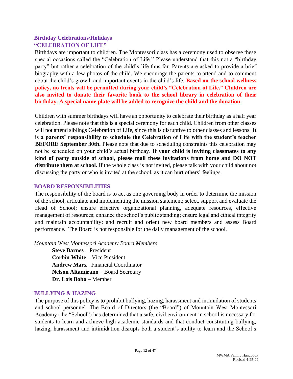# <span id="page-11-0"></span>**Birthday Celebrations/Holidays "CELEBRATION OF LIFE"**

Birthdays are important to children. The Montessori class has a ceremony used to observe these special occasions called the "Celebration of Life." Please understand that this not a "birthday party" but rather a celebration of the child's life thus far. Parents are asked to provide a brief biography with a few photos of the child. We encourage the parents to attend and to comment about the child's growth and important events in the child's life. **Based on the school wellness policy, no treats will be permitted during your child's "Celebration of Life." Children are also invited to donate their favorite book to the school library in celebration of their birthday. A special name plate will be added to recognize the child and the donation.**

Children with summer birthdays will have an opportunity to celebrate their birthday as a half year celebration. Please note that this is a special ceremony for each child. Children from other classes will not attend siblings Celebration of Life, since this is disruptive to other classes and lessons. **It is a parents' responsibility to schedule the Celebration of Life with the student's teacher BEFORE September 30th.** Please note that due to scheduling constraints this celebration may not be scheduled on your child's actual birthday. **If your child is inviting classmates to any kind of party outside of school, please mail these invitations from home and DO NOT distribute them at school.** If the whole class is not invited, please talk with your child about not discussing the party or who is invited at the school, as it can hurt others' feelings.

# <span id="page-11-1"></span>**BOARD RESPONSIBILITIES**

The responsibility of the board is to act as one governing body in order to determine the mission of the school, articulate and implementing the mission statement; select, support and evaluate the Head of School; ensure effective organizational planning, adequate resources, effective management of resources; enhance the school's public standing; ensure legal and ethical integrity and maintain accountability; and recruit and orient new board members and assess Board performance. The Board is not responsible for the daily management of the school.

*Mountain West Montessori Academy Board Members* 

**Steve Barnes** – President **Corbin White** – Vice President **Andrew Marx**– Financial Coordinator **Nelson Altamirano** – Board Secretary **Dr**. **Lois Bobo** – Member

# <span id="page-11-2"></span>**BULLYING & HAZING**

The purpose of this policy is to prohibit bullying, hazing, harassment and intimidation of students and school personnel. The Board of Directors (the "Board") of Mountain West Montessori Academy (the "School") has determined that a safe, civil environment in school is necessary for students to learn and achieve high academic standards and that conduct constituting bullying, hazing, harassment and intimidation disrupts both a student's ability to learn and the School's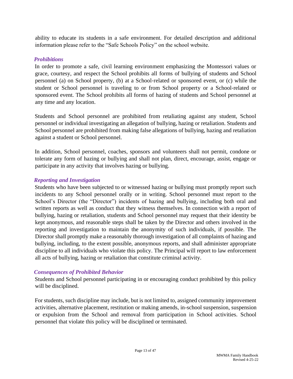ability to educate its students in a safe environment. For detailed description and additional information please refer to the "Safe Schools Policy" on the school website.

# *Prohibitions*

In order to promote a safe, civil learning environment emphasizing the Montessori values or grace, courtesy, and respect the School prohibits all forms of bullying of students and School personnel (a) on School property, (b) at a School‐related or sponsored event, or (c) while the student or School personnel is traveling to or from School property or a School-related or sponsored event. The School prohibits all forms of hazing of students and School personnel at any time and any location.

Students and School personnel are prohibited from retaliating against any student, School personnel or individual investigating an allegation of bullying, hazing or retaliation. Students and School personnel are prohibited from making false allegations of bullying, hazing and retaliation against a student or School personnel.

In addition, School personnel, coaches, sponsors and volunteers shall not permit, condone or tolerate any form of hazing or bullying and shall not plan, direct, encourage, assist, engage or participate in any activity that involves hazing or bullying.

# *Reporting and Investigation*

Students who have been subjected to or witnessed hazing or bullying must promptly report such incidents to any School personnel orally or in writing. School personnel must report to the School's Director (the "Director") incidents of hazing and bullying, including both oral and written reports as well as conduct that they witness themselves. In connection with a report of bullying, hazing or retaliation, students and School personnel may request that their identity be kept anonymous, and reasonable steps shall be taken by the Director and others involved in the reporting and investigation to maintain the anonymity of such individuals, if possible. The Director shall promptly make a reasonably thorough investigation of all complaints of hazing and bullying, including, to the extent possible, anonymous reports, and shall administer appropriate discipline to all individuals who violate this policy. The Principal will report to law enforcement all acts of bullying, hazing or retaliation that constitute criminal activity.

# *Consequences of Prohibited Behavior*

Students and School personnel participating in or encouraging conduct prohibited by this policy will be disciplined.

For students, such discipline may include, but is not limited to, assigned community improvement activities, alternative placement, restitution or making amends, in-school suspension, suspension or expulsion from the School and removal from participation in School activities. School personnel that violate this policy will be disciplined or terminated.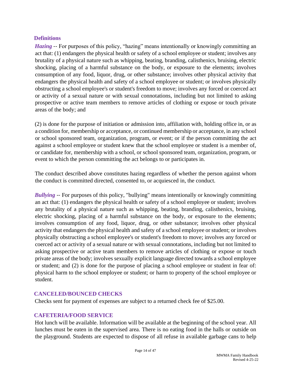# **Definitions**

*Hazing* -- For purposes of this policy, "hazing" means intentionally or knowingly committing an act that: (1) endangers the physical health or safety of a school employee or student; involves any brutality of a physical nature such as whipping, beating, branding, calisthenics, bruising, electric shocking, placing of a harmful substance on the body, or exposure to the elements; involves consumption of any food, liquor, drug, or other substance; involves other physical activity that endangers the physical health and safety of a school employee or student; or involves physically obstructing a school employee's or student's freedom to move; involves any forced or coerced act or activity of a sexual nature or with sexual connotations, including but not limited to asking prospective or active team members to remove articles of clothing or expose or touch private areas of the body; and

(2) is done for the purpose of initiation or admission into, affiliation with, holding office in, or as a condition for, membership or acceptance, or continued membership or acceptance, in any school or school sponsored team, organization, program, or event; or if the person committing the act against a school employee or student knew that the school employee or student is a member of, or candidate for, membership with a school, or school sponsored team, organization, program, or event to which the person committing the act belongs to or participates in.

The conduct described above constitutes hazing regardless of whether the person against whom the conduct is committed directed, consented to, or acquiesced in, the conduct.

*Bullying* -- For purposes of this policy, "bullying" means intentionally or knowingly committing an act that: (1) endangers the physical health or safety of a school employee or student; involves any brutality of a physical nature such as whipping, beating, branding, calisthenics, bruising, electric shocking, placing of a harmful substance on the body, or exposure to the elements; involves consumption of any food, liquor, drug, or other substance; involves other physical activity that endangers the physical health and safety of a school employee or student; or involves physically obstructing a school employee's or student's freedom to move; involves any forced or coerced act or activity of a sexual nature or with sexual connotations, including but not limited to asking prospective or active team members to remove articles of clothing or expose or touch private areas of the body; involves sexually explicit language directed towards a school employee or student; and (2) is done for the purpose of placing a school employee or student in fear of: physical harm to the school employee or student; or harm to property of the school employee or student.

# <span id="page-13-0"></span>**CANCELED/BOUNCED CHECKS**

Checks sent for payment of expenses are subject to a returned check fee of \$25.00.

# <span id="page-13-1"></span>**CAFETERIA/FOOD SERVICE**

Hot lunch will be available. Information will be available at the beginning of the school year. All lunches must be eaten in the supervised area. There is no eating food in the halls or outside on the playground. Students are expected to dispose of all refuse in available garbage cans to help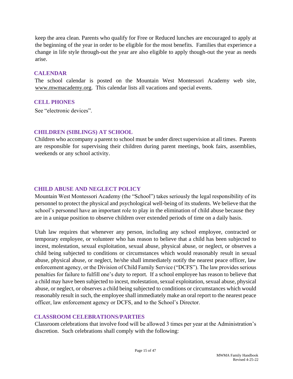keep the area clean. Parents who qualify for Free or Reduced lunches are encouraged to apply at the beginning of the year in order to be eligible for the most benefits. Families that experience a change in life style through-out the year are also eligible to apply though-out the year as needs arise.

#### <span id="page-14-0"></span>**CALENDAR**

The school calendar is posted on the Mountain West Montessori Academy web site, www.mwmacademy.org. This calendar lists all vacations and special events.

#### <span id="page-14-1"></span>**CELL PHONES**

See "electronic devices".

# <span id="page-14-2"></span>**CHILDREN (SIBLINGS) AT SCHOOL**

Children who accompany a parent to school must be under direct supervision at all times. Parents are responsible for supervising their children during parent meetings, book fairs, assemblies, weekends or any school activity.

# <span id="page-14-3"></span>**CHILD ABUSE AND NEGLECT POLICY**

Mountain West Montessori Academy (the "School") takes seriously the legal responsibility of its personnel to protect the physical and psychological well‐being of its students. We believe that the school's personnel have an important role to play in the elimination of child abuse because they are in a unique position to observe children over extended periods of time on a daily basis.

Utah law requires that whenever any person, including any school employee, contracted or temporary employee, or volunteer who has reason to believe that a child has been subjected to incest, molestation, sexual exploitation, sexual abuse, physical abuse, or neglect, or observes a child being subjected to conditions or circumstances which would reasonably result in sexual abuse, physical abuse, or neglect, he/she shall immediately notify the nearest peace officer, law enforcement agency, or the Division of Child Family Service ("DCFS"). The law provides serious penalties for failure to fulfill one's duty to report. If a school employee has reason to believe that a child may have been subjected to incest, molestation, sexual exploitation, sexual abuse, physical abuse, or neglect, or observes a child being subjected to conditions or circumstances which would reasonably result in such, the employee shall immediately make an oral report to the nearest peace officer, law enforcement agency or DCFS, and to the School's Director.

# <span id="page-14-4"></span>**CLASSROOM CELEBRATIONS/PARTIES**

Classroom celebrations that involve food will be allowed 3 times per year at the Administration's discretion. Such celebrations shall comply with the following: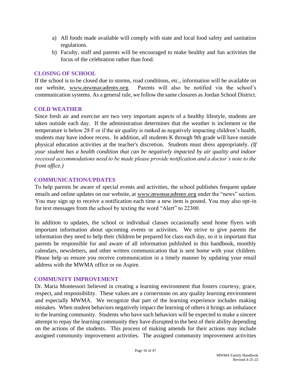- a) All foods made available will comply with state and local food safety and sanitation regulations.
- b) Faculty, staff and parents will be encouraged to make healthy and fun activities the focus of the celebration rather than food.

# <span id="page-15-0"></span>**CLOSING OF SCHOOL**

If the school is to be closed due to storms, road conditions, etc., information will be available on our website, **www.mwmacademy.org**. Parents will also be notified via the school's communication systems. As a general rule, we follow the same closures as Jordan School District.

# <span id="page-15-1"></span>**COLD WEATHER**

Since fresh air and exercise are two very important aspects of a healthy lifestyle, students are taken outside each day. If the administration determines that the weather is inclement or the temperature is below 28 F or if the air quality is ranked as negatively impacting children's health, students may have indoor recess. In addition, all students K through 9th grade will have outside physical education activities at the teacher's discretion. Students must dress appropriately. *(If your student has a health condition that can be negatively impacted by air quality and indoor recessed accommodations need to be made please provide notification and a doctor's note to the front office.)* 

# <span id="page-15-2"></span>**COMMUNICATION/UPDATES**

To help parents be aware of special events and activities, the school publishes frequent update emails and online updates on our website, at **[www.mwmacademy.org](http://www.mwmacademy.org/)** [un](http://www.mwmacademy.org/)der the "news" section. You may sign up to receive a notification each time a new item is posted. You may also opt-in for text messages from the school by texting the word "Alert" to 22300.

In addition to updates, the school or individual classes occasionally send home flyers with important information about upcoming events or activities. We strive to give parents the information they need to help their children be prepared for class each day, so it is important that parents be responsible for and aware of all information published in this handbook, monthly calendars, newsletters, and other written communication that is sent home with your children. Please help us ensure you receive communication in a timely manner by updating your email address with the MWMA office or on Aspire.

# <span id="page-15-3"></span>**COMMUNITY IMPROVEMENT**

Dr. Maria Montessori believed in creating a learning environment that fosters courtesy, grace, respect, and responsibility. These values are a cornerstone on any quality learning environment and especially MWMA. We recognize that part of the learning experience includes making mistakes. When student behaviors negatively impact the learning of others it brings an imbalance to the learning community. Students who have such behaviors will be expected to make a sincere attempt to repay the learning community they have disrupted to the best of their ability depending on the actions of the students. This process of making amends for their actions may include assigned community improvement activities. The assigned community improvement activities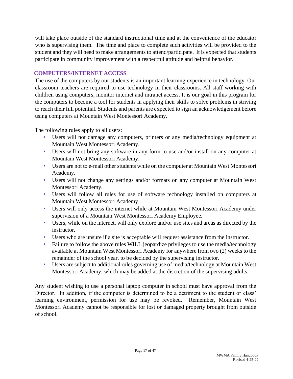will take place outside of the standard instructional time and at the convenience of the educator who is supervising them. The time and place to complete such activities will be provided to the student and they will need to make arrangements to attend/participate. It is expected that students participate in community improvement with a respectful attitude and helpful behavior.

# <span id="page-16-0"></span>**COMPUTERS/INTERNET ACCESS**

The use of the computers by our students is an important learning experience in technology. Our classroom teachers are required to use technology in their classrooms. All staff working with children using computers, monitor internet and intranet access. It is our goal in this program for the computers to become a tool for students in applying their skills to solve problems in striving to reach their full potential. Students and parents are expected to sign an acknowledgement before using computers at Mountain West Montessori Academy.

The following rules apply to all users:

- Users will not damage any computers, printers or any media/technology equipment at Mountain West Montessori Academy.
- Users will not bring any software in any form to use and/or install on any computer at Mountain West Montessori Academy.
- Users are not to e‐mail other students while on the computer at Mountain West Montessori Academy.
- Users will not change any settings and/or formats on any computer at Mountain West Montessori Academy.
- Users will follow all rules for use of software technology installed on computers at Mountain West Montessori Academy.
- Users will only access the internet while at Mountain West Montessori Academy under supervision of a Mountain West Montessori Academy Employee.
- Users, while on the internet, will only explore and/or use sites and areas as directed by the instructor.
- Users who are unsure if a site is acceptable will request assistance from the instructor.
- Failure to follow the above rules WILL jeopardize privileges to use the media/technology available at Mountain West Montessori Academy for anywhere from two (2) weeks to the remainder of the school year, to be decided by the supervising instructor.
- Users are subject to additional rules governing use of media/technology at Mountain West Montessori Academy, which may be added at the discretion of the supervising adults.

Any student wishing to use a personal laptop computer in school must have approval from the Director. In addition, if the computer is determined to be a detriment to the student or class' learning environment, permission for use may be revoked. Remember, Mountain West Montessori Academy cannot be responsible for lost or damaged property brought from outside of school.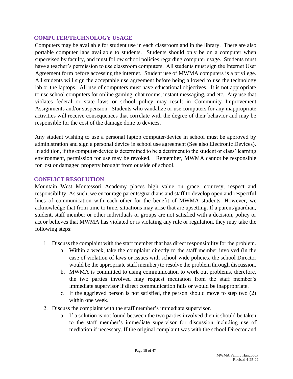# <span id="page-17-0"></span>**COMPUTER/TECHNOLOGY USAGE**

Computers may be available for student use in each classroom and in the library. There are also portable computer labs available to students. Students should only be on a computer when supervised by faculty, and must follow school policies regarding computer usage. Students must have a teacher's permission to use classroom computers. All students must sign the Internet User Agreement form before accessing the internet. Student use of MWMA computers is a privilege. All students will sign the acceptable use agreement before being allowed to use the technology lab or the laptops. All use of computers must have educational objectives. It is not appropriate to use school computers for online gaming, chat rooms, instant messaging, and etc. Any use that violates federal or state laws or school policy may result in Community Improvement Assignments and/or suspension. Students who vandalize or use computers for any inappropriate activities will receive consequences that correlate with the degree of their behavior and may be responsible for the cost of the damage done to devices.

Any student wishing to use a personal laptop computer/device in school must be approved by administration and sign a personal device in school use agreement (See also Electronic Devices). In addition, if the computer/device is determined to be a detriment to the student or class' learning environment, permission for use may be revoked. Remember, MWMA cannot be responsible for lost or damaged property brought from outside of school.

# <span id="page-17-1"></span>**CONFLICT RESOLUTION**

Mountain West Montessori Academy places high value on grace, courtesy, respect and responsibility. As such, we encourage parents/guardians and staff to develop open and respectful lines of communication with each other for the benefit of MWMA students. However, we acknowledge that from time to time, situations may arise that are upsetting. If a parent/guardian, student, staff member or other individuals or groups are not satisfied with a decision, policy or act or believes that MWMA has violated or is violating any rule or regulation, they may take the following steps:

- 1. Discuss the complaint with the staff member that has direct responsibility for the problem.
	- a. Within a week, take the complaint directly to the staff member involved (in the case of violation of laws or issues with school‐wide policies, the school Director would be the appropriate staff member) to resolve the problem through discussion.
	- b. MWMA is committed to using communication to work out problems, therefore, the two parties involved may request mediation from the staff member's immediate supervisor if direct communication fails or would be inappropriate.
	- c. If the aggrieved person is not satisfied, the person should move to step two (2) within one week.
- 2. Discuss the complaint with the staff member's immediate supervisor.
	- a. If a solution is not found between the two parties involved then it should be taken to the staff member's immediate supervisor for discussion including use of mediation if necessary. If the original complaint was with the school Director and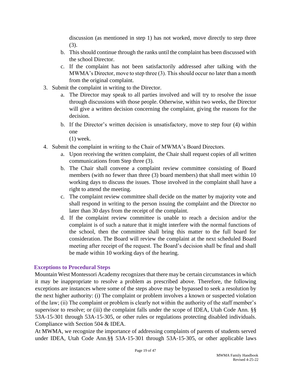discussion (as mentioned in step 1) has not worked, move directly to step three (3).

- b. This should continue through the ranks until the complaint has been discussed with the school Director.
- c. If the complaint has not been satisfactorily addressed after talking with the MWMA's Director, move to step three (3). This should occur no later than a month from the original complaint.
- 3. Submit the complaint in writing to the Director.
	- a. The Director may speak to all parties involved and will try to resolve the issue through discussions with those people. Otherwise, within two weeks, the Director will give a written decision concerning the complaint, giving the reasons for the decision.
	- b. If the Director's written decision is unsatisfactory, move to step four (4) within one

(1) week.

- 4. Submit the complaint in writing to the Chair of MWMA's Board Directors.
	- a. Upon receiving the written complaint, the Chair shall request copies of all written communications from Step three (3).
	- b. The Chair shall convene a complaint review committee consisting of Board members (with no fewer than three (3) board members) that shall meet within 10 working days to discuss the issues. Those involved in the complaint shall have a right to attend the meeting.
	- c. The complaint review committee shall decide on the matter by majority vote and shall respond in writing to the person issuing the complaint and the Director no later than 30 days from the receipt of the complaint.
	- d. If the complaint review committee is unable to reach a decision and/or the complaint is of such a nature that it might interfere with the normal functions of the school, then the committee shall bring this matter to the full board for consideration. The Board will review the complaint at the next scheduled Board meeting after receipt of the request. The Board's decision shall be final and shall be made within 10 working days of the hearing.

# **Exceptions to Procedural Steps**

Mountain West Montessori Academy recognizes that there may be certain circumstances in which it may be inappropriate to resolve a problem as prescribed above. Therefore, the following exceptions are instances where some of the steps above may be bypassed to seek a resolution by the next higher authority: (i) The complaint or problem involves a known or suspected violation of the law; (ii) The complaint or problem is clearly not within the authority of the staff member's supervisor to resolve; or (iii) the complaint falls under the scope of IDEA, Utah Code Ann. §§ 53A‐15‐301 through 53A‐15‐305, or other rules or regulations protecting disabled individuals. Compliance with Section 504 & IDEA.

At MWMA, we recognize the importance of addressing complaints of parents of students served under IDEA, Utah Code Ann.§§ 53A‐15‐301 through 53A‐15‐305, or other applicable laws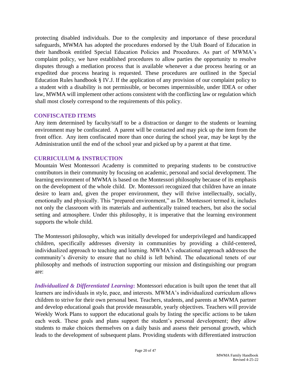protecting disabled individuals. Due to the complexity and importance of these procedural safeguards, MWMA has adopted the procedures endorsed by the Utah Board of Education in their handbook entitled Special Education Policies and Procedures. As part of MWMA's complaint policy, we have established procedures to allow parties the opportunity to resolve disputes through a mediation process that is available whenever a due process hearing or an expedited due process hearing is requested. These procedures are outlined in the Special Education Rules handbook § IV.J. If the application of any provision of our complaint policy to a student with a disability is not permissible, or becomes impermissible, under IDEA or other law, MWMA will implement other actions consistent with the conflicting law or regulation which shall most closely correspond to the requirements of this policy.

#### <span id="page-19-0"></span>**CONFISCATED ITEMS**

Any item determined by faculty/staff to be a distraction or danger to the students or learning environment may be confiscated. A parent will be contacted and may pick up the item from the front office. Any item confiscated more than once during the school year, may be kept by the Administration until the end of the school year and picked up by a parent at that time.

# <span id="page-19-1"></span>**CURRICULUM & INSTRUCTION**

Mountain West Montessori Academy is committed to preparing students to be constructive contributors in their community by focusing on academic, personal and social development. The learning environment of MWMA is based on the Montessori philosophy because of its emphasis on the development of the whole child. Dr. Montessori recognized that children have an innate desire to learn and, given the proper environment, they will thrive intellectually, socially, emotionally and physically. This "prepared environment," as Dr. Montessori termed it, includes not only the classroom with its materials and authentically trained teachers, but also the social setting and atmosphere. Under this philosophy, it is imperative that the learning environment supports the whole child.

The Montessori philosophy, which was initially developed for underprivileged and handicapped children, specifically addresses diversity in communities by providing a child‐centered, individualized approach to teaching and learning. MWMA's educational approach addresses the community's diversity to ensure that no child is left behind. The educational tenets of our philosophy and methods of instruction supporting our mission and distinguishing our program are:

*Individualized & Differentiated Learning***:** Montessori education is built upon the tenet that all learners are individuals in style, pace, and interests. MWMA's individualized curriculum allows children to strive for their own personal best. Teachers, students, and parents at MWMA partner and develop educational goals that provide measurable, yearly objectives. Teachers will provide Weekly Work Plans to support the educational goals by listing the specific actions to be taken each week. These goals and plans support the student's personal development; they allow students to make choices themselves on a daily basis and assess their personal growth, which leads to the development of subsequent plans. Providing students with differentiated instruction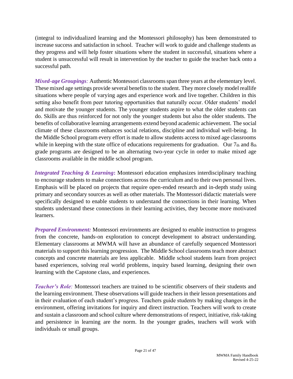(integral to individualized learning and the Montessori philosophy) has been demonstrated to increase success and satisfaction in school. Teacher will work to guide and challenge students as they progress and will help foster situations where the student in successful, situations where a student is unsuccessful will result in intervention by the teacher to guide the teacher back onto a successful path.

*Mixed-age Groupings*: Authentic Montessori classrooms span three years at the elementary level. These mixed age settings provide several benefits to the student. They more closely model reallife situations where people of varying ages and experience work and live together. Children in this setting also benefit from peer tutoring opportunities that naturally occur. Older students' model and motivate the younger students. The younger students aspire to what the older students can do. Skills are thus reinforced for not only the younger students but also the older students. The benefits of collaborative learning arrangements extend beyond academic achievement. The social climate of these classrooms enhances social relations, discipline and individual well-being. In the Middle School program every effort is made to allow students access to mixed age classrooms while in keeping with the state office of educations requirements for graduation. Our  $7<sub>th</sub>$  and  $8<sub>th</sub>$ grade programs are designed to be an alternating two-year cycle in order to make mixed age classrooms available in the middle school program.

*Integrated Teaching & Learning***:** Montessori education emphasizes interdisciplinary teaching to encourage students to make connections across the curriculum and to their own personal lives. Emphasis will be placed on projects that require open‐ended research and in‐depth study using primary and secondary sources as well as other materials. The Montessori didactic materials were specifically designed to enable students to understand the connections in their learning. When students understand these connections in their learning activities, they become more motivated learners.

*Prepared Environment:* Montessori environments are designed to enable instruction to progress from the concrete, hands-on exploration to concept development to abstract understanding. Elementary classrooms at MWMA will have an abundance of carefully sequenced Montessori materials to support this learning progression. The Middle School classrooms teach more abstract concepts and concrete materials are less applicable. Middle school students learn from project based experiences, solving real world problems, inquiry based learning, designing their own learning with the Capstone class, and experiences.

*Teacher's Role:* Montessori teachers are trained to be scientific observers of their students and the learning environment. These observations will guide teachers in their lesson presentations and in their evaluation of each student's progress. Teachers guide students by making changes in the environment, offering invitations for inquiry and direct instruction. Teachers will work to create and sustain a classroom and school culture where demonstrations of respect, initiative, risk‐taking and persistence in learning are the norm. In the younger grades, teachers will work with individuals or small groups.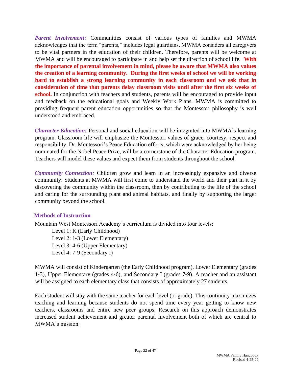Parent Involvement: Communities consist of various types of families and MWMA acknowledges that the term "parents," includes legal guardians. MWMA considers all caregivers to be vital partners in the education of their children. Therefore, parents will be welcome at MWMA and will be encouraged to participate in and help set the direction of school life. **With the importance of parental involvement in mind, please be aware that MWMA also values the creation of a learning community. During the first weeks of school we will be working hard to establish a strong learning community in each classroom and we ask that in consideration of time that parents delay classroom visits until after the first six weeks of**  school. In conjunction with teachers and students, parents will be encouraged to provide input and feedback on the educational goals and Weekly Work Plans. MWMA is committed to providing frequent parent education opportunities so that the Montessori philosophy is well understood and embraced.

*Character Education:* Personal and social education will be integrated into MWMA's learning program. Classroom life will emphasize the Montessori values of grace, courtesy, respect and responsibility. Dr. Montessori's Peace Education efforts, which were acknowledged by her being nominated for the Nobel Peace Prize, will be a cornerstone of the Character Education program. Teachers will model these values and expect them from students throughout the school.

*Community Connection:* Children grow and learn in an increasingly expansive and diverse community. Students at MWMA will first come to understand the world and their part in it by discovering the community within the classroom, then by contributing to the life of the school and caring for the surrounding plant and animal habitats, and finally by supporting the larger community beyond the school.

#### **Methods of Instruction**

Mountain West Montessori Academy's curriculum is divided into four levels:

Level 1: K (Early Childhood) Level 2: 1‐3 (Lower Elementary) Level 3: 4‐6 (Upper Elementary) Level 4: 7‐9 (Secondary I)

MWMA will consist of Kindergarten (the Early Childhood program), Lower Elementary (grades 1‐3), Upper Elementary (grades 4‐6), and Secondary I (grades 7‐9). A teacher and an assistant will be assigned to each elementary class that consists of approximately 27 students.

Each student will stay with the same teacher for each level (or grade). This continuity maximizes teaching and learning because students do not spend time every year getting to know new teachers, classrooms and entire new peer groups. Research on this approach demonstrates increased student achievement and greater parental involvement both of which are central to MWMA's mission.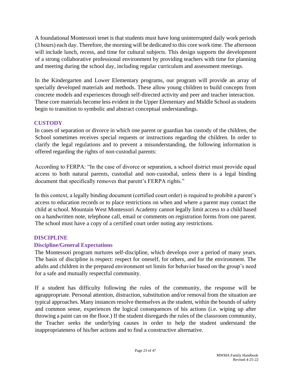A foundational Montessori tenet is that students must have long uninterrupted daily work periods (3 hours) each day. Therefore, the morning will be dedicated to this core work time. The afternoon will include lunch, recess, and time for cultural subjects. This design supports the development of a strong collaborative professional environment by providing teachers with time for planning and meeting during the school day, including regular curriculum and assessment meetings.

In the Kindergarten and Lower Elementary programs, our program will provide an array of specially developed materials and methods. These allow young children to build concepts from concrete models and experiences through self‐directed activity and peer and teacher interaction. These core materials become less evident in the Upper Elementary and Middle School as students begin to transition to symbolic and abstract conceptual understandings.

# <span id="page-22-0"></span>**CUSTODY**

In cases of separation or divorce in which one parent or guardian has custody of the children, the School sometimes receives special requests or instructions regarding the children. In order to clarify the legal regulations and to prevent a misunderstanding, the following information is offered regarding the rights of non‐custodial parents:

According to FERPA: "In the case of divorce or separation, a school district must provide equal access to both natural parents, custodial and non‐custodial, unless there is a legal binding document that specifically removes that parent's FERPA rights."

In this context, a legally binding document (certified court order) is required to prohibit a parent's access to education records or to place restrictions on when and where a parent may contact the child at school. Mountain West Montessori Academy cannot legally limit access to a child based on a handwritten note, telephone call, email or comments on registration forms from one parent. The school must have a copy of a certified court order noting any restrictions.

# <span id="page-22-1"></span>**DISCIPLINE**

# **Discipline/General Expectations**

The Montessori program nurtures self‐discipline, which develops over a period of many years. The basis of discipline is respect: respect for oneself, for others, and for the environment. The adults and children in the prepared environment set limits for behavior based on the group's need for a safe and mutually respectful community.

If a student has difficulty following the rules of the community, the response will be ageappropriate. Personal attention, distraction, substitution and/or removal from the situation are typical approaches. Many instances resolve themselves as the student, within the bounds of safety and common sense, experiences the logical consequences of his actions (i.e. wiping up after throwing a paint can on the floor.) If the student disregards the rules of the classroom community, the Teacher seeks the underlying causes in order to help the student understand the inappropriateness of his/her actions and to find a constructive alternative.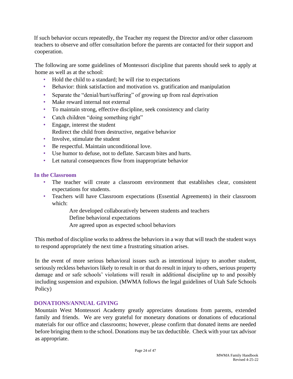If such behavior occurs repeatedly, the Teacher my request the Director and/or other classroom teachers to observe and offer consultation before the parents are contacted for their support and cooperation.

The following are some guidelines of Montessori discipline that parents should seek to apply at home as well as at the school:

- Hold the child to a standard; he will rise to expectations
- Behavior: think satisfaction and motivation vs. gratification and manipulation
- Separate the "denial/hurt/suffering" of growing up from real deprivation
- Make reward internal not external
- To maintain strong, effective discipline, seek consistency and clarity
- Catch children "doing something right"
- Engage, interest the student Redirect the child from destructive, negative behavior
- Involve, stimulate the student
- Be respectful. Maintain unconditional love.
- Use humor to defuse, not to deflate. Sarcasm bites and hurts.
- Let natural consequences flow from inappropriate behavior

# **In the Classroom**

- The teacher will create a classroom environment that establishes clear, consistent expectations for students.
- Teachers will have Classroom expectations (Essential Agreements) in their classroom which:

Are developed collaboratively between students and teachers Define behavioral expectations Are agreed upon as expected school behaviors

This method of discipline works to address the behaviors in a way that will teach the student ways to respond appropriately the next time a frustrating situation arises.

In the event of more serious behavioral issues such as intentional injury to another student, seriously reckless behaviors likely to result in or that do result in injury to others, serious property damage and or safe schools' violations will result in additional discipline up to and possibly including suspension and expulsion. (MWMA follows the legal guidelines of Utah Safe Schools Policy)

# <span id="page-23-0"></span>**DONATIONS/ANNUAL GIVING**

Mountain West Montessori Academy greatly appreciates donations from parents, extended family and friends. We are very grateful for monetary donations or donations of educational materials for our office and classrooms; however, please confirm that donated items are needed before bringing them to the school. Donations may be tax deductible. Check with your tax advisor as appropriate.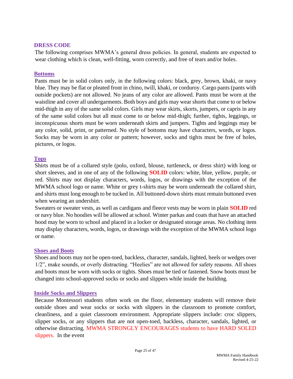#### <span id="page-24-0"></span>**DRESS CODE**

The following comprises MWMA's general dress policies. In general, students are expected to wear clothing which is clean, well-fitting, worn correctly, and free of tears and/or holes.

### **Bottoms**

Pants must be in solid colors only, in the following colors: black, grey, brown, khaki, or navy blue. They may be flat or pleated front in chino, twill, khaki, or corduroy. Cargo pants (pants with outside pockets) are not allowed. No jeans of any color are allowed. Pants must be worn at the waistline and cover all undergarments. Both boys and girls may wear shorts that come to or below mid-thigh in any of the same solid colors. Girls may wear skirts, skorts, jumpers, or capris in any of the same solid colors but all must come to or below mid-thigh; further, tights, leggings, or inconspicuous shorts must be worn underneath skirts and jumpers. Tights and leggings may be any color, solid, print, or patterned. No style of bottoms may have characters, words, or logos. Socks may be worn in any color or pattern; however, socks and tights must be free of holes, pictures, or logos.

# **Tops**

Shirts must be of a collared style (polo, oxford, blouse, turtleneck, or dress shirt) with long or short sleeves, and in one of any of the following **SOLID** colors: white, blue, yellow, purple, or red. Shirts may not display characters, words, logos, or drawings with the exception of the MWMA school logo or name. White or grey t-shirts may be worn underneath the collared shirt, and shirts must long enough to be tucked in. All buttoned-down shirts must remain buttoned even when wearing an undershirt.

Sweaters or sweater vests, as well as cardigans and fleece vests may be worn in plain **SOLID** red or navy blue. No hoodies will be allowed at school. Winter parkas and coats that have an attached hood may be worn to school and placed in a locker or designated storage areas. No clothing item may display characters, words, logos, or drawings with the exception of the MWMA school logo or name.

# **Shoes and Boots**

Shoes and boots may not be open-toed, backless, character, sandals, lighted, heels or wedges over 1/2", make sounds, or overly distracting. "Heelies" are not allowed for safety reasons. All shoes and boots must be worn with socks or tights. Shoes must be tied or fastened. Snow boots must be changed into school-approved socks or socks and slippers while inside the building.

# **Inside Socks and Slippers**

Because Montessori students often work on the floor, elementary students will remove their outside shoes and wear socks or socks with slippers in the classroom to promote comfort, cleanliness, and a quiet classroom environment. Appropriate slippers include: croc slippers, slipper socks, or any slippers that are not open-toed, backless, character, sandals, lighted, or otherwise distracting. MWMA STRONGLY ENCOURAGES students to have HARD SOLED slippers. In the event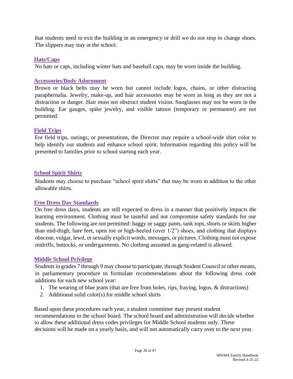that students need to exit the building in an emergency or drill we do not stop to change shoes. The slippers may stay at the school.

# **Hats/Caps**

No hats or caps, including winter hats and baseball caps, may be worn inside the building.

# **Accessories/Body Adornment**

Brown or black belts may be worn but cannot include logos, chains, or other distracting paraphernalia. Jewelry, make-up, and hair accessories may be worn as long as they are not a distraction or danger. Hair must not obstruct student vision. Sunglasses may not be worn in the building. Ear gauges, spike jewelry, and visible tattoos (temporary or permanent) are not permitted.

# **Field Trips**

For field trips, outings, or presentations, the Director may require a school-wide shirt color to help identify our students and enhance school spirit. Information regarding this policy will be presented to families prior to school starting each year.

# **School Spirit Shirts**

Students may choose to purchase "school spirit shirts" that may be worn in addition to the other allowable shirts.

# **Free Dress Day Standards**

On free dress days, students are still expected to dress in a manner that positively impacts the learning environment. Clothing must be tasteful and not compromise safety standards for our students. The following are not permitted: baggy or saggy pants, tank tops, shorts or skirts higher than mid-thigh, bare feet, open toe or high-heeled (over 1/2") shoes, and clothing that displays obscene, vulgar, lewd, or sexually explicit words, messages, or pictures. Clothing must not expose midriffs, buttocks, or undergarments. No clothing assumed as gang-related is allowed.

# **Middle School Privilege**

Students in grades 7 through 9 may choose to participate, through Student Council or other means, in parliamentary procedure to formulate recommendations about the following dress code additions for each new school year:

- 1. The wearing of blue jeans (that are free from holes, rips, fraying, logos, & distractions)
- 2. Additional solid color(s) for middle school shirts

Based upon these procedures each year, a student committee may present student recommendations to the school board. The school board and administration will decide whether to allow these additional dress codes privileges for Middle School students only. These decisions will be made on a yearly basis, and will not automatically carry over to the next year.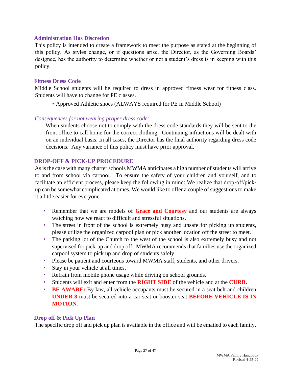# **Administration Has Discretion**

This policy is intended to create a framework to meet the purpose as stated at the beginning of this policy. As styles change, or if questions arise, the Director, as the Governing Boards' designee, has the authority to determine whether or not a student's dress is in keeping with this policy.

# **Fitness Dress Code**

Middle School students will be required to dress in approved fitness wear for fitness class. Students will have to change for PE classes.

• Approved Athletic shoes (ALWAYS required for PE in Middle School)

# *Consequences for not wearing proper dress code:*

When students choose not to comply with the dress code standards they will be sent to the front office to call home for the correct clothing. Continuing infractions will be dealt with on an individual basis. In all cases, the Director has the final authority regarding dress code decisions. Any variance of this policy must have prior approval.

# <span id="page-26-0"></span>**DROP-OFF & PICK-UP PROCEDURE**

As is the case with many charter schools MWMA anticipates a high number of students will arrive to and from school via carpool. To ensure the safety of your children and yourself, and to facilitate an efficient process, please keep the following in mind: We realize that drop-off/pickup can be somewhat complicated at times. We would like to offer a couple of suggestions to make it a little easier for everyone.

- Remember that we are models of **Grace and Courtesy** and our students are always watching how we react to difficult and stressful situations.
- The street in front of the school is extremely busy and unsafe for picking up students, please utilize the organized carpool plan or pick another location off the street to meet.
- The parking lot of the Church to the west of the school is also extremely busy and not supervised for pick-up and drop off. MWMA recommends that families use the organized carpool system to pick up and drop of students safely.
- Please be patient and courteous toward MWMA staff, students, and other drivers.
- Stay in your vehicle at all times.
- Refrain from mobile phone usage while driving on school grounds.
- Students will exit and enter from the **RIGHT SIDE** of the vehicle and at the **CURB.**
- **BE AWARE:** By law, all vehicle occupants must be secured in a seat belt and children **UNDER 8** must be secured into a car seat or booster seat **BEFORE VEHICLE IS IN MOTION**.

# **Drop off & Pick Up Plan**

The specific drop off and pick up plan is available in the office and will be emailed to each family.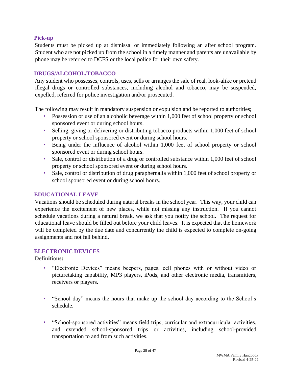# **Pick-up**

Students must be picked up at dismissal or immediately following an after school program. Student who are not picked up from the school in a timely manner and parents are unavailable by phone may be referred to DCFS or the local police for their own safety.

# <span id="page-27-0"></span>**DRUGS/ALCOHOL/TOBACCO**

Any student who possesses, controls, uses, sells or arranges the sale of real, look-alike or pretend illegal drugs or controlled substances, including alcohol and tobacco, may be suspended, expelled, referred for police investigation and/or prosecuted.

The following may result in mandatory suspension or expulsion and be reported to authorities;

- Possession or use of an alcoholic beverage within 1,000 feet of school property or school sponsored event or during school hours.
- Selling, giving or delivering or distributing tobacco products within 1,000 feet of school property or school sponsored event or during school hours.
- Being under the influence of alcohol within 1,000 feet of school property or school sponsored event or during school hours.
- Sale, control or distribution of a drug or controlled substance within 1,000 feet of school property or school sponsored event or during school hours.
- Sale, control or distribution of drug paraphernalia within 1,000 feet of school property or school sponsored event or during school hours.

# <span id="page-27-1"></span>**EDUCATIONAL LEAVE**

Vacations should be scheduled during natural breaks in the school year. This way, your child can experience the excitement of new places, while not missing any instruction. If you cannot schedule vacations during a natural break, we ask that you notify the school. The request for educational leave should be filled out before your child leaves. It is expected that the homework will be completed by the due date and concurrently the child is expected to complete on-going assignments and not fall behind.

# <span id="page-27-2"></span>**ELECTRONIC DEVICES**

# **Definitions:**

- "Electronic Devices" means beepers, pages, cell phones with or without video or picturetaking capability, MP3 players, iPods, and other electronic media, transmitters, receivers or players.
- "School day" means the hours that make up the school day according to the School's schedule.
- "School-sponsored activities" means field trips, curricular and extracurricular activities, and extended school-sponsored trips or activities, including school-provided transportation to and from such activities.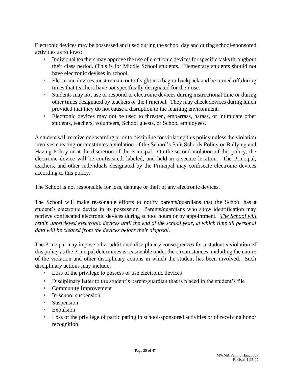Electronic devices may be possessed and used during the school day and during school-sponsored activities as follows:

- Individual teachers may approve the use of electronic devices for specific tasks throughout their class period. (This is for Middle School students. Elementary students should not have electronic devises in school.
- Electronic devices must remain out of sight in a bag or backpack and be turned off during times that teachers have not specifically designated for their use.
- Students may not use or respond to electronic devices during instructional time or during other times designated by teachers or the Principal. They may check devices during lunch provided that they do not cause a disruption to the learning environment.
- Electronic devices may not be used to threaten, embarrass, harass, or intimidate other students, teachers, volunteers, School guests, or School employees.

A student will receive one warning prior to discipline for violating this policy unless the violation involves cheating or constitutes a violation of the School's Safe Schools Policy or Bullying and Hazing Policy or at the discretion of the Principal. On the second violation of this policy, the electronic device will be confiscated, labeled, and held in a secure location. The Principal, teachers, and other individuals designated by the Principal may confiscate electronic devices according to this policy.

The School is not responsible for loss, damage or theft of any electronic devices.

The School will make reasonable efforts to notify parents/guardians that the School has a student's electronic device in its possession. Parents/guardians who show identification may retrieve confiscated electronic devices during school hours or by appointment. *The School will retain unretrieved electronic devices until the end of the school year, at which time all personal data will be cleared from the devices before their disposal.*

The Principal may impose other additional disciplinary consequences for a student's violation of this policy as the Principal determines is reasonable under the circumstances, including the nature of the violation and other disciplinary actions in which the student has been involved. Such disciplinary actions may include:

- Loss of the privilege to possess or use electronic devices
- Disciplinary letter to the student's parent/guardian that is placed in the student's file
- Community Improvement
- In-school suspension
- Suspension
- Expulsion
- Loss of the privilege of participating in school-sponsored activities or of receiving honor recognition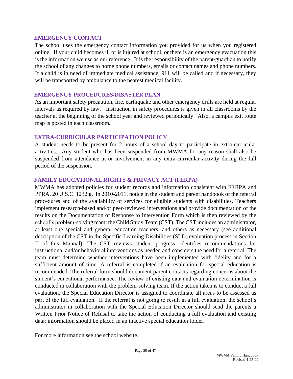#### <span id="page-29-0"></span>**EMERGENCY CONTACT**

The school uses the emergency contact information you provided for us when you registered online. If your child becomes ill or is injured at school, or there is an emergency evacuation this is the information we use as our reference. It is the responsibility of the parent/guardian to notify the school of any changes to home phone numbers, emails or contact names and phone numbers. If a child is in need of immediate medical assistance, 911 will be called and if necessary, they will be transported by ambulance to the nearest medical facility.

#### <span id="page-29-1"></span>**EMERGENCY PROCEDURES/DISASTER PLAN**

As an important safety precaution, fire, earthquake and other emergency drills are held at regular intervals as required by law. Instruction in safety procedures is given in all classrooms by the teacher at the beginning of the school year and reviewed periodically. Also, a campus exit route map is posted in each classroom.

# <span id="page-29-2"></span>**EXTRA-CURRICULAR PARTICIPATION POLICY**

A student needs to be present for 2 hours of a school day to participate in extra-curricular activities. Any student who has been suspended from MWMA for any reason shall also be suspended from attendance at or involvement in any extra-curricular activity during the full period of the suspension.

# <span id="page-29-3"></span>**FAMILY EDUCATIONAL RIGHTS & PRIVACY ACT (FERPA)**

MWMA has adopted policies for student records and information consistent with FERPA and PPRA, 20 U.S.C. 1232 g. In 2010-2011, notice in the student and parent handbook of the referral procedures and of the availability of services for eligible students with disabilities. Teachers implement research-based and/or peer-reviewed interventions and provide documentation of the results on the Documentation of Response to Intervention Form which is then reviewed by the school's problem-solving team: the Child Study Team (CST). The CST includes an administrator, at least one special and general education teachers, and others as necessary (see additional description of the CST in the Specific Learning Disabilities (SLD) evaluation process in Section II of this Manual). The CST reviews student progress, identifies recommendations for instructional and/or behavioral interventions as needed and considers the need for a referral. The team must determine whether interventions have been implemented with fidelity and for a sufficient amount of time. A referral is completed if an evaluation for special education is recommended. The referral form should document parent contacts regarding concerns about the student's educational performance. The review of existing data and evaluation determination is conducted in collaboration with the problem-solving team. If the action taken is to conduct a full evaluation, the Special Education Director is assigned to coordinate all areas to be assessed as part of the full evaluation. If the referral is not going to result in a full evaluation, the school's administrator in collaboration with the Special Education Director should send the parents a Written Prior Notice of Refusal to take the action of conducting a full evaluation and existing data; information should be placed in an inactive special education folder.

For more information see the school website.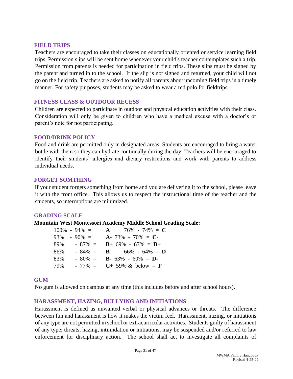#### <span id="page-30-0"></span>**FIELD TRIPS**

Teachers are encouraged to take their classes on educationally oriented or service learning field trips. Permission slips will be sent home whenever your child's teacher contemplates such a trip. Permission from parents is needed for participation in field trips. These slips must be signed by the parent and turned in to the school. If the slip is not signed and returned, your child will not go on the field trip. Teachers are asked to notify all parents about upcoming field trips in a timely manner. For safety purposes, students may be asked to wear a red polo for fieldtrips.

# <span id="page-30-1"></span>**FITNESS CLASS & OUTDOOR RECESS**

Children are expected to participate in outdoor and physical education activities with their class. Consideration will only be given to children who have a medical excuse with a doctor's or parent's note for not participating.

# <span id="page-30-2"></span>**FOOD/DRINK POLICY**

Food and drink are permitted only in designated areas. Students are encouraged to bring a water bottle with them so they can hydrate continually during the day. Teachers will be encouraged to identify their students' allergies and dietary restrictions and work with parents to address individual needs.

# <span id="page-30-3"></span>**FORGET SOMTHING**

If your student forgets something from home and you are delivering it to the school, please leave it with the front office. This allows us to respect the instructional time of the teacher and the students, so interruptions are minimized.

#### <span id="page-30-4"></span>**GRADING SCALE**

**Mountain West Montessori Academy Middle School Grading Scale:** 

| $100\% - 94\% =$ | $A \t 76\% - 74\% = C$                   |
|------------------|------------------------------------------|
| $93\% - 90\% =$  | $A - 73\% - 70\% = C$                    |
| 89%<br>$-87\% =$ | $B + 69\% - 67\% = D +$                  |
| $-84\% =$<br>86% | <b>B</b> 66% - 64% = <b>D</b>            |
| $-80\% =$<br>83% | <b>B</b> - 63% - 60% = <b>D</b> -        |
| 79%              | $-77\% = C + 59\% \& \text{ below } = F$ |

#### <span id="page-30-5"></span>**GUM**

No gum is allowed on campus at any time (this includes before and after school hours).

# <span id="page-30-6"></span>**HARASSMENT, HAZING, BULLYING AND INITIATIONS**

Harassment is defined as unwanted verbal or physical advances or threats. The difference between fun and harassment is how it makes the victim feel. Harassment, hazing, or initiations of any type are not permitted in school or extracurricular activities. Students guilty of harassment of any type; threats, hazing, intimidation or initiations, may be suspended and/or referred to law enforcement for disciplinary action. The school shall act to investigate all complaints of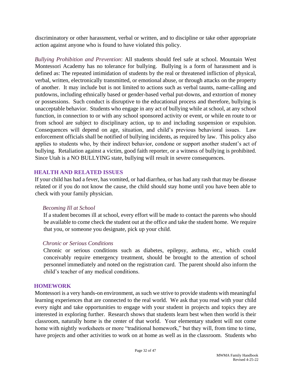discriminatory or other harassment, verbal or written, and to discipline or take other appropriate action against anyone who is found to have violated this policy.

*Bullying Prohibition and Prevention*: All students should feel safe at school. Mountain West Montessori Academy has no tolerance for bullying. Bullying is a form of harassment and is defined as: The repeated intimidation of students by the real or threatened infliction of physical, verbal, written, electronically transmitted, or emotional abuse, or through attacks on the property of another. It may include but is not limited to actions such as verbal taunts, name-calling and putdowns, including ethnically based or gender-based verbal put-downs, and extortion of money or possessions. Such conduct is disruptive to the educational process and therefore, bullying is unacceptable behavior. Students who engage in any act of bullying while at school, at any school function, in connection to or with any school sponsored activity or event, or while en route to or from school are subject to disciplinary action, up to and including suspension or expulsion. Consequences will depend on age, situation, and child's previous behavioral issues. Law enforcement officials shall be notified of bullying incidents, as required by law. This policy also applies to students who, by their indirect behavior, condone or support another student's act of bullying. Retaliation against a victim, good faith reporter, or a witness of bullying is prohibited. Since Utah is a NO BULLYING state, bullying will result in severe consequences.

# <span id="page-31-0"></span>**HEALTH AND RELATED ISSUES**

If your child has had a fever, has vomited, or had diarrhea, or has had any rash that may be disease related or if you do not know the cause, the child should stay home until you have been able to check with your family physician.

# *Becoming Ill at School*

If a student becomes ill at school, every effort will be made to contact the parents who should be available to come check the student out at the office and take the student home. We require that you, or someone you designate, pick up your child.

# *Chronic or Serious Conditions*

Chronic or serious conditions such as diabetes, epilepsy, asthma, etc., which could conceivably require emergency treatment, should be brought to the attention of school personnel immediately and noted on the registration card. The parent should also inform the child's teacher of any medical conditions.

# <span id="page-31-1"></span>**HOMEWORK**

Montessori is a very hands-on environment, as such we strive to provide students with meaningful learning experiences that are connected to the real world. We ask that you read with your child every night and take opportunities to engage with your student in projects and topics they are interested in exploring further. Research shows that students learn best when then world is their classroom, naturally home is the center of that world. Your elementary student will not come home with nightly worksheets or more "traditional homework," but they will, from time to time, have projects and other activities to work on at home as well as in the classroom. Students who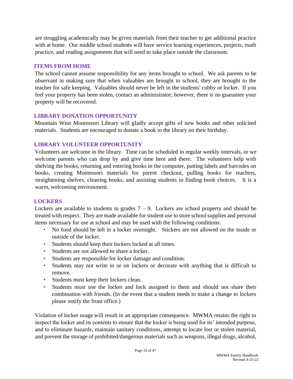are struggling academically may be given materials from their teacher to get additional practice with at home. Our middle school students will have service learning experiences, projects, math practice, and reading assignments that will need to take place outside the classroom.

# <span id="page-32-0"></span>**ITEMS FROM HOME**

The school cannot assume responsibility for any items brought to school. We ask parents to be observant in making sure that when valuables are brought to school, they are brought to the teacher for safe keeping. Valuables should never be left in the students' cubby or locker. If you feel your property has been stolen, contact an administrator; however, there is no guarantee your property will be recovered.

# <span id="page-32-1"></span>**LIBRARY DONATION OPPORTUNITY**

Mountain West Montessori Library will gladly accept gifts of new books and other solicited materials. Students are encouraged to donate a book to the library on their birthday.

# <span id="page-32-2"></span>**LIBRARY VOLUNTEER OPPORTUNITY**

Volunteers are welcome in the library. Time can be scheduled in regular weekly intervals, or we welcome parents who can drop by and give time here and there. The volunteers help with shelving the books, returning and entering books in the computer, putting labels and barcodes on books, creating Montessori materials for parent checkout, pulling books for teachers, straightening shelves, cleaning books, and assisting students in finding book choices. It is a warm, welcoming environment.

# <span id="page-32-3"></span>**LOCKERS**

Lockers are available to students in grades  $7 - 9$ . Lockers are school property and should be treated with respect. They are made available for student use to store school supplies and personal items necessary for use at school and may be used with the following conditions:

- No food should be left in a locker overnight. Stickers are not allowed on the inside or outside of the locker.
- Students should keep their lockers locked at all times.
- Students are not allowed to share a locker.
- Students are responsible for locker damage and condition.
- Students may not write in or on lockers or decorate with anything that is difficult to remove.
- Students must keep their lockers clean.
- Students must use the locker and lock assigned to them and should not share their combination with friends. (In the event that a student needs to make a change to lockers please notify the front office.)

Violation of locker usage will result in an appropriate consequence. MWMA retains the right to inspect the locker and its contents to ensure that the locker is being used for its' intended purpose, and to eliminate hazards, maintain sanitary conditions, attempt to locate lost or stolen material, and prevent the storage of prohibited/dangerous materials such as weapons, illegal drugs, alcohol,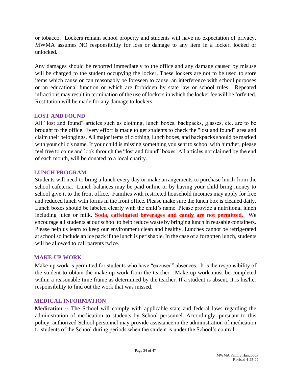or tobacco. Lockers remain school property and students will have no expectation of privacy. MWMA assumes NO responsibility for loss or damage to any item in a locker, locked or unlocked.

Any damages should be reported immediately to the office and any damage caused by misuse will be charged to the student occupying the locker. These lockers are not to be used to store items which cause or can reasonably be foreseen to cause, an interference with school purposes or an educational function or which are forbidden by state law or school rules. Repeated infractions may result in termination of the use of lockers in which the locker fee will be forfeited. Restitution will be made for any damage to lockers.

# <span id="page-33-0"></span>**LOST AND FOUND**

All "lost and found" articles such as clothing, lunch boxes, backpacks, glasses, etc. are to be brought to the office. Every effort is made to get students to check the "lost and found" area and claim their belongings. All major items of clothing, lunch boxes, and backpacks should be marked with your child's name. If your child is missing something you sent to school with him/her, please feel free to come and look through the "lost and found" boxes. All articles not claimed by the end of each month, will be donated to a local charity.

# <span id="page-33-1"></span>**LUNCH PROGRAM**

Students will need to bring a lunch every day or make arrangements to purchase lunch from the school cafeteria. Lunch balances may be paid online or by having your child bring money to school give it to the front office. Families with restricted household incomes may apply for free and reduced lunch with forms in the front office. Please make sure the lunch box is cleaned daily. Lunch boxes should be labeled clearly with the child's name. Please provide a nutritional lunch including juice or milk. **Soda, caffeinated beverages and candy are not permitted.** We encourage all students at our school to help reduce waste by bringing lunch in reusable containers. Please help us learn to keep our environment clean and healthy. Lunches cannot be refrigerated at school so include an ice pack if the lunch is perishable. In the case of a forgotten lunch, students will be allowed to call parents twice.

# <span id="page-33-2"></span>**MAKE-UP WORK**

Make-up work is permitted for students who have "excused" absences. It is the responsibility of the student to obtain the make-up work from the teacher. Make-up work must be completed within a reasonable time frame as determined by the teacher. If a student is absent, it is his/her responsibility to find out the work that was missed.

# <span id="page-33-3"></span>**MEDICAL INFORMATION**

**Medication --** The School will comply with applicable state and federal laws regarding the administration of medication to students by School personnel. Accordingly, pursuant to this policy, authorized School personnel may provide assistance in the administration of medication to students of the School during periods when the student is under the School's control.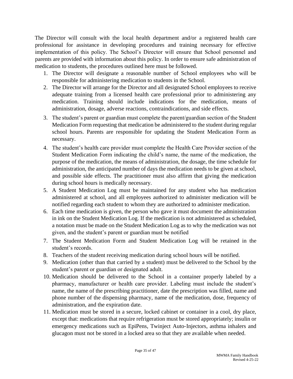The Director will consult with the local health department and/or a registered health care professional for assistance in developing procedures and training necessary for effective implementation of this policy. The School's Director will ensure that School personnel and parents are provided with information about this policy. In order to ensure safe administration of medication to students, the procedures outlined here must be followed.

- 1. The Director will designate a reasonable number of School employees who will be responsible for administering medication to students in the School.
- 2. The Director will arrange for the Director and all designated School employees to receive adequate training from a licensed health care professional prior to administering any medication. Training should include indications for the medication, means of administration, dosage, adverse reactions, contraindications, and side effects.
- 3. The student's parent or guardian must complete the parent/guardian section of the Student Medication Form requesting that medication be administered to the student during regular school hours. Parents are responsible for updating the Student Medication Form as necessary.
- 4. The student's health care provider must complete the Health Care Provider section of the Student Medication Form indicating the child's name, the name of the medication, the purpose of the medication, the means of administration, the dosage, the time schedule for administration, the anticipated number of days the medication needs to be given at school, and possible side effects. The practitioner must also affirm that giving the medication during school hours is medically necessary.
- 5. A Student Medication Log must be maintained for any student who has medication administered at school, and all employees authorized to administer medication will be notified regarding each student to whom they are authorized to administer medication.
- 6. Each time medication is given, the person who gave it must document the administration in ink on the Student Medication Log. If the medication is not administered as scheduled, a notation must be made on the Student Medication Log as to why the medication was not given, and the student's parent or guardian must be notified
- 7. The Student Medication Form and Student Medication Log will be retained in the student's records.
- 8. Teachers of the student receiving medication during school hours will be notified.
- 9. Medication (other than that carried by a student) must be delivered to the School by the student's parent or guardian or designated adult.
- 10. Medication should be delivered to the School in a container properly labeled by a pharmacy, manufacturer or health care provider. Labeling must include the student's name, the name of the prescribing practitioner, date the prescription was filled, name and phone number of the dispensing pharmacy, name of the medication, dose, frequency of administration, and the expiration date.
- 11. Medication must be stored in a secure, locked cabinet or container in a cool, dry place, except that: medications that require refrigeration must be stored appropriately; insulin or emergency medications such as EpiPens, Twinject Auto-Injectors, asthma inhalers and glucagon must not be stored in a locked area so that they are available when needed.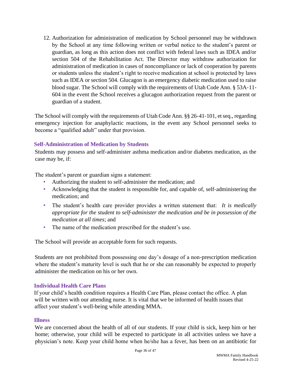12. Authorization for administration of medication by School personnel may be withdrawn by the School at any time following written or verbal notice to the student's parent or guardian, as long as this action does not conflict with federal laws such as IDEA and/or section 504 of the Rehabilitation Act. The Director may withdraw authorization for administration of medication in cases of noncompliance or lack of cooperation by parents or students unless the student's right to receive medication at school is protected by laws such as IDEA or section 504. Glucagon is an emergency diabetic medication used to raise blood sugar. The School will comply with the requirements of Utah Code Ann. § 53A‐11‐ 604 in the event the School receives a glucagon authorization request from the parent or guardian of a student.

The School will comply with the requirements of Utah Code Ann. §§ 26-41-101, et seq., regarding emergency injection for anaphylactic reactions, in the event any School personnel seeks to become a "qualified adult" under that provision.

# **Self-Administration of Medication by Students**

Students may possess and self‐administer asthma medication and/or diabetes medication, as the case may be, if:

The student's parent or guardian signs a statement:

- Authorizing the student to self-administer the medication; and
- Acknowledging that the student is responsible for, and capable of, self-administering the medication; and
- The student's health care provider provides a written statement that: *It is medically appropriate for the student to self*‐*administer the medication and be in possession of the medication at all times*; and
- The name of the medication prescribed for the student's use.

The School will provide an acceptable form for such requests.

Students are not prohibited from possessing one day's dosage of a non-prescription medication where the student's maturity level is such that he or she can reasonably be expected to properly administer the medication on his or her own.

# **Individual Health Care Plans**

If your child's health condition requires a Health Care Plan, please contact the office. A plan will be written with our attending nurse. It is vital that we be informed of health issues that affect your student's well-being while attending MMA.

# **Illness**

We are concerned about the health of all of our students. If your child is sick, keep him or her home; otherwise, your child will be expected to participate in all activities unless we have a physician's note. Keep your child home when he/she has a fever, has been on an antibiotic for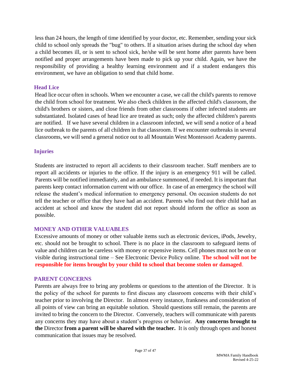less than 24 hours, the length of time identified by your doctor, etc. Remember, sending your sick child to school only spreads the "bug" to others. If a situation arises during the school day when a child becomes ill, or is sent to school sick, he/she will be sent home after parents have been notified and proper arrangements have been made to pick up your child. Again, we have the responsibility of providing a healthy learning environment and if a student endangers this environment, we have an obligation to send that child home.

### **Head Lice**

Head lice occur often in schools. When we encounter a case, we call the child's parents to remove the child from school for treatment. We also check children in the affected child's classroom, the child's brothers or sisters, and close friends from other classrooms if other infected students are substantiated. Isolated cases of head lice are treated as such; only the affected children's parents are notified. If we have several children in a classroom infected, we will send a notice of a head lice outbreak to the parents of all children in that classroom. If we encounter outbreaks in several classrooms, we will send a general notice out to all Mountain West Montessori Academy parents.

# **Injuries**

Students are instructed to report all accidents to their classroom teacher. Staff members are to report all accidents or injuries to the office. If the injury is an emergency 911 will be called. Parents will be notified immediately, and an ambulance summoned, if needed. It is important that parents keep contact information current with our office. In case of an emergency the school will release the student's medical information to emergency personal. On occasion students do not tell the teacher or office that they have had an accident. Parents who find out their child had an accident at school and know the student did not report should inform the office as soon as possible.

# <span id="page-36-0"></span>**MONEY AND OTHER VALUABLES**

Excessive amounts of money or other valuable items such as electronic devices, iPods, Jewelry, etc. should not be brought to school. There is no place in the classroom to safeguard items of value and children can be careless with money or expensive items. Cell phones must not be on or visible during instructional time – See Electronic Device Policy online. **The school will not be responsible for items brought by your child to school that become stolen or damaged**.

#### <span id="page-36-1"></span>**PARENT CONCERNS**

Parents are always free to bring any problems or questions to the attention of the Director. It is the policy of the school for parents to first discuss any classroom concerns with their child's teacher prior to involving the Director. In almost every instance, frankness and consideration of all points of view can bring an equitable solution. Should questions still remain, the parents are invited to bring the concern to the Director. Conversely, teachers will communicate with parents any concerns they may have about a student's progress or behavior. **Any concerns brought to the** Director **from a parent will be shared with the teacher.** It is only through open and honest communication that issues may be resolved.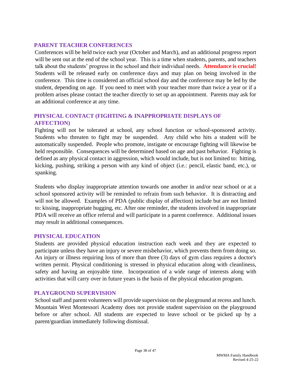# <span id="page-37-0"></span>**PARENT TEACHER CONFERENCES**

Conferences will be held twice each year (October and March), and an additional progress report will be sent out at the end of the school year. This is a time when students, parents, and teachers talk about the students' progress in the school and their individual needs. **Attendance is crucial!** Students will be released early on conference days and may plan on being involved in the conference. This time is considered an official school day and the conference may be led by the student, depending on age. If you need to meet with your teacher more than twice a year or if a problem arises please contact the teacher directly to set up an appointment. Parents may ask for an additional conference at any time.

# <span id="page-37-1"></span>**PHYSICAL CONTACT (FIGHTING & INAPPROPRIATE DISPLAYS OF AFFECTION)**

Fighting will not be tolerated at school, any school function or school-sponsored activity. Students who threaten to fight may be suspended. Any child who hits a student will be automatically suspended. People who promote, instigate or encourage fighting will likewise be held responsible. Consequences will be determined based on age and past behavior. Fighting is defined as any physical contact in aggression, which would include, but is not limited to: hitting, kicking, pushing, striking a person with any kind of object (i.e.: pencil, elastic band, etc.), or spanking.

Students who display inappropriate attention towards one another in and/or near school or at a school sponsored activity will be reminded to refrain from such behavior. It is distracting and will not be allowed. Examples of PDA (public display of affection) include but are not limited to: kissing, inappropriate hugging, etc. After one reminder, the students involved in inappropriate PDA will receive an office referral and will participate in a parent conference. Additional issues may result in additional consequences.

# <span id="page-37-2"></span>**PHYSICAL EDUCATION**

Students are provided physical education instruction each week and they are expected to participate unless they have an injury or severe misbehavior, which prevents them from doing so. An injury or illness requiring loss of more than three (3) days of gym class requires a doctor's written permit. Physical conditioning is stressed in physical education along with cleanliness, safety and having an enjoyable time. Incorporation of a wide range of interests along with activities that will carry over in future years is the basis of the physical education program.

# <span id="page-37-3"></span>**PLAYGROUND SUPERVISION**

School staff and parent volunteers will provide supervision on the playground at recess and lunch. Mountain West Montessori Academy does not provide student supervision on the playground before or after school. All students are expected to leave school or be picked up by a parent/guardian immediately following dismissal.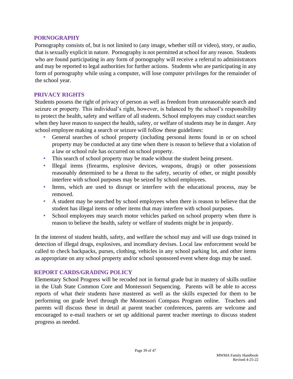#### <span id="page-38-0"></span>**PORNOGRAPHY**

Pornography consists of, but is not limited to (any image, whether still or video), story, or audio, that is sexually explicit in nature. Pornography is not permitted at school for any reason. Students who are found participating in any form of pornography will receive a referral to administrators and may be reported to legal authorities for further actions. Students who are participating in any form of pornography while using a computer, will lose computer privileges for the remainder of the school year.

#### <span id="page-38-1"></span>**PRIVACY RIGHTS**

Students possess the right of privacy of person as well as freedom from unreasonable search and seizure or property. This individual's right, however, is balanced by the school's responsibility to protect the health, safety and welfare of all students. School employees may conduct searches when they have reason to suspect the health, safety, or welfare of students may be in danger. Any school employee making a search or seizure will follow these guidelines:

- General searches of school property (including personal items found in or on school property may be conducted at any time when there is reason to believe that a violation of a law or school rule has occurred on school property.
- This search of school property may be made without the student being present.
- Illegal items (firearms, explosive devices, weapons, drugs) or other possessions reasonably determined to be a threat to the safety, security of other, or might possibly interfere with school purposes may be seized by school employees.
- Items, which are used to disrupt or interfere with the educational process, may be removed.
- A student may be searched by school employees when there is reason to believe that the student has illegal items or other items that may interfere with school purposes.
- School employees may search motor vehicles parked on school property when there is reason to believe the health, safety or welfare of students might be in jeopardy.

In the interest of student health, safety, and welfare the school may and will use dogs trained in detection of illegal drugs, explosives, and incendiary devises. Local law enforcement would be called to check backpacks, purses, clothing, vehicles in any school parking lot, and other items as appropriate on any school property and/or school sponsored event where dogs may be used.

# <span id="page-38-2"></span>**REPORT CARDS/GRADING POLICY**

Elementary School Progress will be recoded not in formal grade but in mastery of skills outline in the Utah State Common Core and Montessori Sequencing. Parents will be able to access reports of what their students have mastered as well as the skills expected for them to be performing on grade level through the Montessori Compass Program online. Teachers and parents will discuss these in detail at parent teacher conferences, parents are welcome and encouraged to e-mail teachers or set up additional parent teacher meetings to discuss student progress as needed.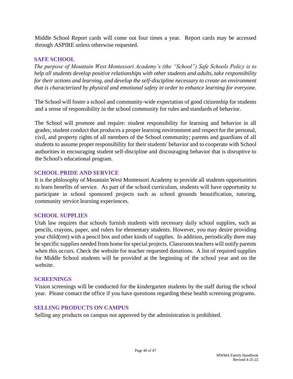Middle School Report cards will come out four times a year. Report cards may be accessed through ASPIRE unless otherwise requested.

# <span id="page-39-0"></span>**SAFE SCHOOL**

*The purpose of Mountain West Montessori Academy's (the "School") Safe Schools Policy is to help all students develop positive relationships with other students and adults, take responsibility for their actions and learning, and develop the self*‐*discipline necessary to create an environment that is characterized by physical and emotional safety in order to enhance learning for everyone.* 

The School will foster a school and community-wide expectation of good citizenship for students and a sense of responsibility in the school community for rules and standards of behavior.

The School will promote and require: student responsibility for learning and behavior in all grades; student conduct that produces a proper learning environment and respect for the personal, civil, and property rights of all members of the School community; parents and guardians of all students to assume proper responsibility for their students' behavior and to cooperate with School authorities in encouraging student self‐discipline and discouraging behavior that is disruptive to the School's educational program.

# <span id="page-39-1"></span>**SCHOOL PRIDE AND SERVICE**

It is the philosophy of Mountain West Montessori Academy to provide all students opportunities to learn benefits of service. As part of the school curriculum, students will have opportunity to participate in school sponsored projects such as school grounds beautification, tutoring, community service learning experiences.

# <span id="page-39-2"></span>**SCHOOL SUPPLIES**

Utah law requires that schools furnish students with necessary daily school supplies, such as pencils, crayons, paper, and rulers for elementary students. However, you may desire providing your child(ren) with a pencil box and other kinds of supplies. In addition, periodically there may be specific supplies needed from home for special projects. Classroom teachers will notify parents when this occurs. Check the website for teacher requested donations. A list of required supplies for Middle School students will be provided at the beginning of the school year and on the website.

# <span id="page-39-3"></span>**SCREENINGS**

Vision screenings will be conducted for the kindergarten students by the staff during the school year. Please contact the office if you have questions regarding these health screening programs.

# <span id="page-39-4"></span>**SELLING PRODUCTS ON CAMPUS**

Selling any products on campus not approved by the administration is prohibited.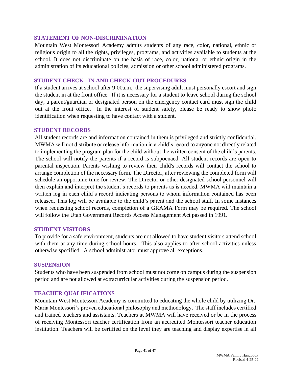#### <span id="page-40-0"></span>**STATEMENT OF NON-DISCRIMINATION**

Mountain West Montessori Academy admits students of any race, color, national, ethnic or religious origin to all the rights, privileges, programs, and activities available to students at the school. It does not discriminate on the basis of race, color, national or ethnic origin in the administration of its educational policies, admission or other school administered programs.

#### <span id="page-40-1"></span>**STUDENT CHECK –IN AND CHECK-OUT PROCEDURES**

If a student arrives at school after 9:00a.m., the supervising adult must personally escort and sign the student in at the front office. If it is necessary for a student to leave school during the school day, a parent/guardian or designated person on the emergency contact card must sign the child out at the front office. In the interest of student safety, please be ready to show photo identification when requesting to have contact with a student.

#### <span id="page-40-2"></span>**STUDENT RECORDS**

All student records are and information contained in them is privileged and strictly confidential. MWMA will not distribute or release information in a child's record to anyone not directly related to implementing the program plan for the child without the written consent of the child's parents. The school will notify the parents if a record is subpoenaed. All student records are open to parental inspection. Parents wishing to review their child's records will contact the school to arrange completion of the necessary form. The Director, after reviewing the completed form will schedule an opportune time for review. The Director or other designated school personnel will then explain and interpret the student's records to parents as is needed. MWMA will maintain a written log in each child's record indicating persons to whom information contained has been released. This log will be available to the child's parent and the school staff. In some instances when requesting school records, completion of a GRAMA Form may be required. The school will follow the Utah Government Records Access Management Act passed in 1991.

#### <span id="page-40-3"></span>**STUDENT VISITORS**

To provide for a safe environment, students are not allowed to have student visitors attend school with them at any time during school hours. This also applies to after school activities unless otherwise specified. A school administrator must approve all exceptions.

#### <span id="page-40-4"></span>**SUSPENSION**

Students who have been suspended from school must not come on campus during the suspension period and are not allowed at extracurricular activities during the suspension period.

# <span id="page-40-5"></span>**TEACHER QUALIFICATIONS**

Mountain West Montessori Academy is committed to educating the whole child by utilizing Dr. Maria Montessori's proven educational philosophy and methodology. The staff includes certified and trained teachers and assistants. Teachers at MWMA will have received or be in the process of receiving Montessori teacher certification from an accredited Montessori teacher education institution. Teachers will be certified on the level they are teaching and display expertise in all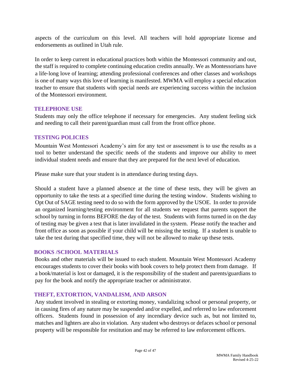aspects of the curriculum on this level. All teachers will hold appropriate license and endorsements as outlined in Utah rule.

In order to keep current in educational practices both within the Montessori community and out, the staff is required to complete continuing education credits annually. We as Montessorians have a life‐long love of learning; attending professional conferences and other classes and workshops is one of many ways this love of learning is manifested. MWMA will employ a special education teacher to ensure that students with special needs are experiencing success within the inclusion of the Montessori environment.

# <span id="page-41-0"></span>**TELEPHONE USE**

Students may only the office telephone if necessary for emergencies. Any student feeling sick and needing to call their parent/guardian must call from the front office phone.

# <span id="page-41-1"></span>**TESTING POLICIES**

Mountain West Montessori Academy's aim for any test or assessment is to use the results as a tool to better understand the specific needs of the students and improve our ability to meet individual student needs and ensure that they are prepared for the next level of education.

Please make sure that your student is in attendance during testing days.

Should a student have a planned absence at the time of these tests, they will be given an opportunity to take the tests at a specified time during the testing window. Students wishing to Opt Out of SAGE testing need to do so with the form approved by the USOE. In order to provide an organized learning/testing environment for all students we request that parents support the school by turning in forms BEFORE the day of the test. Students with forms turned in on the day of testing may be given a test that is later invalidated in the system. Please notify the teacher and front office as soon as possible if your child will be missing the testing. If a student is unable to take the test during that specified time, they will not be allowed to make up these tests.

# <span id="page-41-2"></span>**BOOKS /SCHOOL MATERIALS**

Books and other materials will be issued to each student. Mountain West Montessori Academy encourages students to cover their books with book covers to help protect them from damage. If a book/material is lost or damaged, it is the responsibility of the student and parents/guardians to pay for the book and notify the appropriate teacher or administrator.

# <span id="page-41-3"></span>**THEFT, EXTORTION, VANDALISM, AND ARSON**

Any student involved in stealing or extorting money, vandalizing school or personal property, or in causing fires of any nature may be suspended and/or expelled, and referred to law enforcement officers. Students found in possession of any incendiary device such as, but not limited to, matches and lighters are also in violation. Any student who destroys or defaces school or personal property will be responsible for restitution and may be referred to law enforcement officers.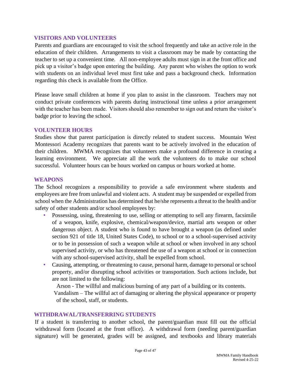#### <span id="page-42-0"></span>**VISITORS AND VOLUNTEERS**

Parents and guardians are encouraged to visit the school frequently and take an active role in the education of their children. Arrangements to visit a classroom may be made by contacting the teacher to set up a convenient time. All non-employee adults must sign in at the front office and pick up a visitor's badge upon entering the building. Any parent who wishes the option to work with students on an individual level must first take and pass a background check. Information regarding this check is available from the Office.

Please leave small children at home if you plan to assist in the classroom. Teachers may not conduct private conferences with parents during instructional time unless a prior arrangement with the teacher has been made. Visitors should also remember to sign out and return the visitor's badge prior to leaving the school.

#### <span id="page-42-1"></span>**VOLUNTEER HOURS**

Studies show that parent participation is directly related to student success. Mountain West Montessori Academy recognizes that parents want to be actively involved in the education of their children. MWMA recognizes that volunteers make a profound difference in creating a learning environment. We appreciate all the work the volunteers do to make our school successful. Volunteer hours can be hours worked on campus or hours worked at home.

#### <span id="page-42-2"></span>**WEAPONS**

The School recognizes a responsibility to provide a safe environment where students and employees are free from unlawful and violent acts. A student may be suspended or expelled from school when the Administration has determined that he/she represents a threat to the health and/or safety of other students and/or school employees by:

- Possessing, using, threatening to use, selling or attempting to sell any firearm, facsimile of a weapon, knife, explosive, chemical/weapon/device, martial arts weapon or other dangerous object. A student who is found to have brought a weapon (as defined under section 921 of title 18, United States Code), to school or to a school-supervised activity or to be in possession of such a weapon while at school or when involved in any school supervised activity, or who has threatened the use of a weapon at school or in connection with any school-supervised activity, shall be expelled from school.
- Causing, attempting, or threatening to cause, personal harm, damage to personal or school property, and/or disrupting school activities or transportation. Such actions include, but are not limited to the following:

Arson - The willful and malicious burning of any part of a building or its contents.

Vandalism – The willful act of damaging or altering the physical appearance or property of the school, staff, or students.

#### <span id="page-42-3"></span>**WITHDRAWAL/TRANSFERRING STUDENTS**

If a student is transferring to another school, the parent/guardian must fill out the official withdrawal form (located at the front office). A withdrawal form (needing parent/guardian signature) will be generated, grades will be assigned, and textbooks and library materials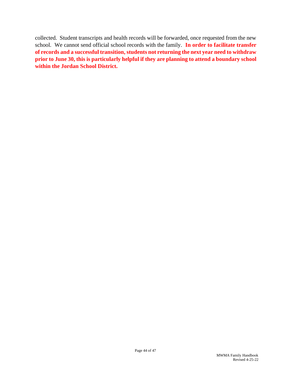collected. Student transcripts and health records will be forwarded, once requested from the new school. We cannot send official school records with the family. **In order to facilitate transfer of records and a successful transition, students not returning the next year need to withdraw prior to June 30, this is particularly helpful if they are planning to attend a boundary school within the Jordan School District.**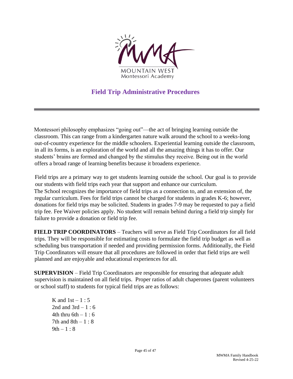

# **Field Trip Administrative Procedures**

<span id="page-44-0"></span>Montessori philosophy emphasizes "going out"—the act of bringing learning outside the classroom. This can range from a kindergarten nature walk around the school to a weeks-long out-of-country experience for the middle schoolers. Experiential learning outside the classroom, in all its forms, is an exploration of the world and all the amazing things it has to offer. Our students' brains are formed and changed by the stimulus they receive. Being out in the world offers a broad range of learning benefits because it broadens experience.

Field trips are a primary way to get students learning outside the school. Our goal is to provide our students with field trips each year that support and enhance our curriculum. The School recognizes the importance of field trips as a connection to, and an extension of, the regular curriculum. Fees for field trips cannot be charged for students in grades K-6; however, donations for field trips may be solicited. Students in grades 7-9 may be requested to pay a field trip fee. Fee Waiver policies apply. No student will remain behind during a field trip simply for failure to provide a donation or field trip fee.

**FIELD TRIP COORDINATORS** – Teachers will serve as Field Trip Coordinators for all field trips. They will be responsible for estimating costs to formulate the field trip budget as well as scheduling bus transportation if needed and providing permission forms. Additionally, the Field Trip Coordinators will ensure that all procedures are followed in order that field trips are well planned and are enjoyable and educational experiences for all.

**SUPERVISION** – Field Trip Coordinators are responsible for ensuring that adequate adult supervision is maintained on all field trips. Proper ratios of adult chaperones (parent volunteers or school staff) to students for typical field trips are as follows:

K and  $1st - 1: 5$ 2nd and  $3rd - 1:6$ 4th thru  $6th - 1:6$ 7th and  $8th - 1 : 8$  $9th - 1 : 8$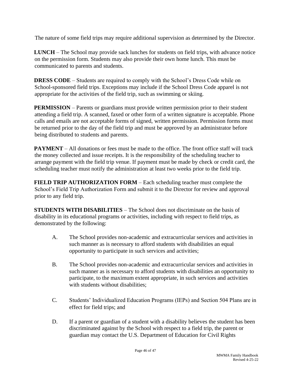The nature of some field trips may require additional supervision as determined by the Director.

**LUNCH** – The School may provide sack lunches for students on field trips, with advance notice on the permission form. Students may also provide their own home lunch. This must be communicated to parents and students.

**DRESS CODE** – Students are required to comply with the School's Dress Code while on School-sponsored field trips. Exceptions may include if the School Dress Code apparel is not appropriate for the activities of the field trip, such as swimming or skiing.

**PERMISSION** – Parents or guardians must provide written permission prior to their student attending a field trip. A scanned, faxed or other form of a written signature is acceptable. Phone calls and emails are not acceptable forms of signed, written permission. Permission forms must be returned prior to the day of the field trip and must be approved by an administrator before being distributed to students and parents.

**PAYMENT** – All donations or fees must be made to the office. The front office staff will track the money collected and issue receipts. It is the responsibility of the scheduling teacher to arrange payment with the field trip venue. If payment must be made by check or credit card, the scheduling teacher must notify the administration at least two weeks prior to the field trip.

**FIELD TRIP AUTHORIZATION FORM** – Each scheduling teacher must complete the School's Field Trip Authorization Form and submit it to the Director for review and approval prior to any field trip.

**STUDENTS WITH DISABILITIES** – The School does not discriminate on the basis of disability in its educational programs or activities, including with respect to field trips, as demonstrated by the following:

- A. The School provides non-academic and extracurricular services and activities in such manner as is necessary to afford students with disabilities an equal opportunity to participate in such services and activities;
- B. The School provides non-academic and extracurricular services and activities in such manner as is necessary to afford students with disabilities an opportunity to participate, to the maximum extent appropriate, in such services and activities with students without disabilities:
- C. Students' Individualized Education Programs (IEPs) and Section 504 Plans are in effect for field trips; and
- D. If a parent or guardian of a student with a disability believes the student has been discriminated against by the School with respect to a field trip, the parent or guardian may contact the U.S. Department of Education for Civil Rights